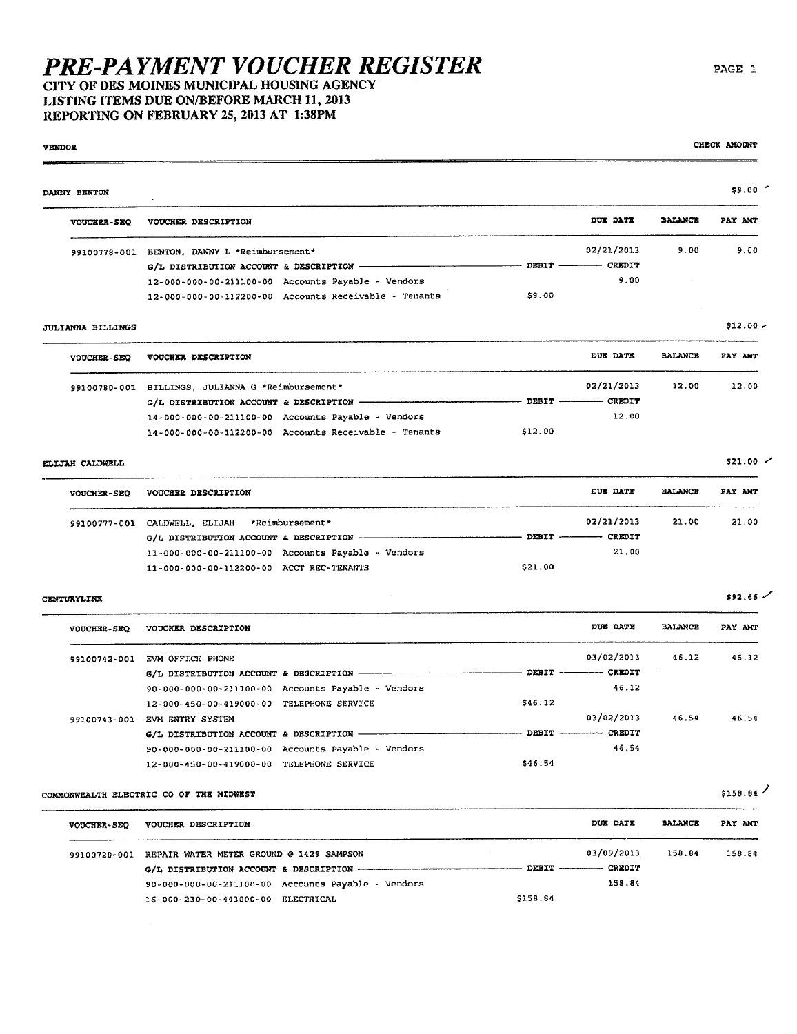### **PRE-PAYMENT VOUCHER REGISTER** CITY OF DES MOINES MUNICIPAL HOUSING AGENCY

### LISTING ITEMS DUE ON/BEFORE MARCH 11, 2013 REPORTING ON FEBRUARY 25, 2013 AT 1:38PM

#### $$9.00$ DANNY BENTON VOUCHER-SEQ VOUCHER DESCRIPTION DUE DATE BALANCE PAY ANT 02/21/2013  $9.00$ 99100778-001 BENTON, DANNY L \*Reimbursement\*  $G/L$  DISTRIBUTION ACCOUNT & DESCRIPTION - $-$  DEBIT  $-$ - CREDIT  $9.00$ 12-000-000-00-211100-00 Accounts Payable - Vendors \$9.00 12-000-000-00-112200-00 Accounts Receivable - Tenants  $$12.00 -$

#### **JULIANNA BILLINGS**

**VENDOR** 

| <b>VOUCHER-SEO</b> | VOUCHER DESCRIPTION                                   | DUE DATE                    | <b>BALANCE</b> | PAY AMT |
|--------------------|-------------------------------------------------------|-----------------------------|----------------|---------|
| 99100780-001       | SILLINGS. JULIANNA G *Reimbursement*                  | 02/21/2013                  | 12.00          | 12.00   |
|                    |                                                       | DEBIT -------------- CREDIT |                |         |
|                    | 14-000-000-00-211100-00 Accounts Payable - Vendors    | 12.00                       |                |         |
|                    | 14-000-000-00-112200-00 Accounts Receivable - Tenants | 512.00                      |                |         |

#### ELIJAH CALDWELL

 $\sim$ 

| <b>VOUCHER-SEO</b> | VOUCHER DESCRIPTION                                | DUE DATE                | <b>BALANCE</b> | PAY AMT |
|--------------------|----------------------------------------------------|-------------------------|----------------|---------|
| 99100777-001       | CALDWELL, ELIJAH *Reimbursement*                   | 02/21/2013              | 21.00          | 21.00   |
|                    |                                                    | CREDIT<br>$DEBIT$ ————— |                |         |
|                    | 11-000-000-00-211100-00 Accounts Payable - Vendors | 21.00                   |                |         |
|                    | 11-000-000-00-112200-00 ACCT REC-TENANTS           | \$21.00                 |                |         |

#### CENTURYLINK

| <b>VOUCHER-SEQ</b> | VOUCHER DESCRIPTION                                | DUE DATE                             | <b>BALANCE</b> | PAY AMT |
|--------------------|----------------------------------------------------|--------------------------------------|----------------|---------|
| 99100742-001       | EVM OFFICE PHONE                                   | 03/02/2013                           | 46.12          | 46.12   |
|                    | G/L DISTRIBUTION ACCOUNT & DESCRIPTION ------      | $DEBIT$ -----------<br><b>CREDIT</b> |                |         |
|                    | 90-000-000-00-211100-00 Accounts Payable - Vendors | 46.12                                |                |         |
|                    | 12-000-450-00-419000-00 TELEPHONE SERVICE          | \$46.12                              |                |         |
| 99100743-001       | EVM ENTRY SYSTEM                                   | 03/02/2013                           | 46.54          | 46.54   |
|                    | G/L DISTRIBUTION ACCOUNT & DESCRIPTION -           | CREDIT                               |                |         |
|                    | 90-000-000-00-211100-00 Accounts Payable - Vendors | 46.54                                |                |         |
|                    | 12-000-450-00-419000-00 TELEPHONE SERVICE          | \$46.54                              |                |         |

#### COMMONWEALTH ELECTRIC CO OF THE MIDWEST

| <b>VOUCHER-SEO</b> | VOUCHER DESCRIPTION                                  | DUE DATE                 | <b>BALANCE</b> | PAY AMT |
|--------------------|------------------------------------------------------|--------------------------|----------------|---------|
| 99100720-001       | REPAIR WATER METER GROUND @ 1429 SAMPSON             | 03/09/2013               | 158.84         | 158.84  |
|                    |                                                      | DEBIT ----------- CREDIT |                |         |
|                    | $90-000-000-00-211100-00$ Accounts Payable - Vendors | 158.84                   |                |         |
|                    | 16-000-230-00-443000-00<br>ELECTRICAL                | \$158.84                 |                |         |

 $$21.00$   $\sim$ 

 $$92.66$ 

 $$158.84$ 

CHECK AMOUNT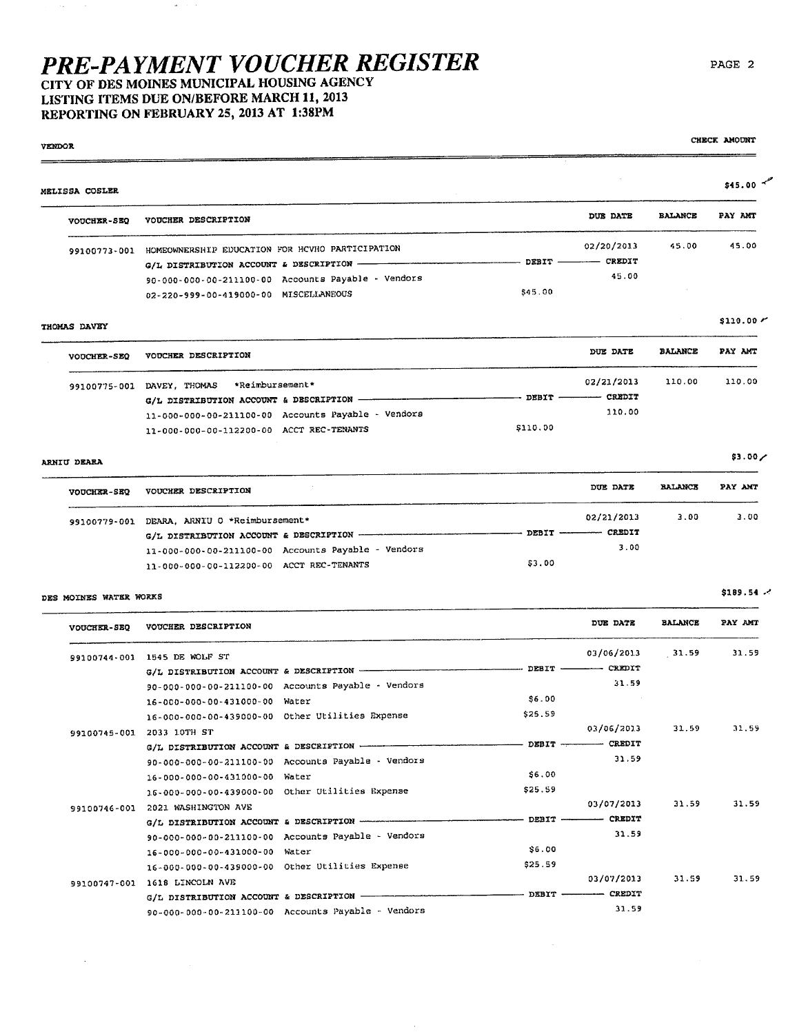## PRE-PAYMENT VOUCHER REGISTER CITY OF DES MOINES MUNICIPAL HOUSING AGENCY

LISTING ITEMS DUE ON/BEFORE MARCH 11, 2013 REPORTING ON FEBRUARY 25, 2013 AT 1:38PM

99100747-001 1618 LINCOLN AVE

 $G/L$  DISTRIBUTION ACCOUNT & DESCRIPTION -

90-000-000-00-211100-00 Accounts Payable - Vendors

VENDOR  $$45.00$ MELISSA COSLER **BALANCE** DITR DATR PAY AMT VOUCHER-SEQ VOUCHER DESCRIPTION 02/20/2013 45.00 45.00 99100773-001 HOMEOWNERSHIP EDUCATION FOR HCVHO PARTICIPATION - DEBIT - $-$  CREDIT  $G/L$  DISTRIBUTION ACCOUNT & DESCRIPTION -45.00 90-000-000-00-211100-00 Accounts Payable - Vendors 02-220-999-00-419000-00 MISCELLANEOUS \$45.00  $$110.00 /$ THOMAS DAVEY DUE DATE **BALANCE** PAY AMT VOUCHER DESCRIPTION **VOUCHER-SEQ** 02/21/2013 110.00 130.00 99100775-001 DAVEY, THOMAS \*Reimbursement\*  $-$  CREDIT  $-$  DEBIT -G/L DISTRIBUTION ACCOUNT & DESCRIPTION -110.00 11-000-000-00-211100-00 Accounts Payable - Vendors \$110.00 11-000-000-00-112200-00 ACCT REC-TENANTS  $$3.00/$ ARNIU DEARA DUE DATE **BALANCE** PAY AMT **VOUCHER DESCRIPTION VOUCHER-SEO** 02/21/2013  $3.00$ 3.00 99100779-001 DEARA, ARNIU O \*Reimbursement\*  $-$  CREDIT G/L DISTRIBUTION ACCOUNT & DESCRIPTION ------ $-$  DEBIT  $-$ 11-000-000-00-211100-00 Accounts Payable - Vendors  $3.00$ \$3.00 11-000-000-00-112200-00 ACCT REC-TENANTS  $$189.54$   $\prime$ DES MOINES WATER WORKS DUE DATE **BALANCE** PAY AMT VOUCHER-SEQ VOUCHER DESCRIPTION 31.59 31.59 03/06/2013 99100744-001 1545 DE WOLF ST  $-$  DEBIT - $-$  CREDIT G/L DISTRIBUTION ACCOUNT & DESCRIPTION - $31.59$ 90-000-000-00-211100-00 Accounts Payable - Vendors \$6.00 16-000-000-00-431000-00 Water 16-000-000-00-439000-00 Other Utilities Expense \$25.59 03/06/2013 31.59 31.59 99100745-001 2033 10TH ST  $G/L$  DISTRIBUTION ACCOUNT & DESCRIPTION - $-$  DEBIT  $-$  CREDIT 31.59 90-000-000-00-211100-00 Accounts Payable - Vendors  $$6.00$ 16-000-000-00-431000-00 Water \$25.59 16-000-000-00-439000-00 Other Utilities Expense 03/07/2013 31.59 31.59 99100746-001 2021 WASHINGTON AVE - CREDIT - DEBIT. G/L DISTRIBUTION ACCOUNT & DESCRIPTION -31.59 90-000-000-00-211100-00 Accounts Payable - Vendors  $$6.00$ 16-000-000-00-431000-00 Water \$25.59 16-000-000-00-439000-00 Other Utilities Expense

PAGE 2

CHECK AMOUNT

31.59

03/07/2013

 $-$  DEBIT  $-$ 

- CREDIT

31.59

31.59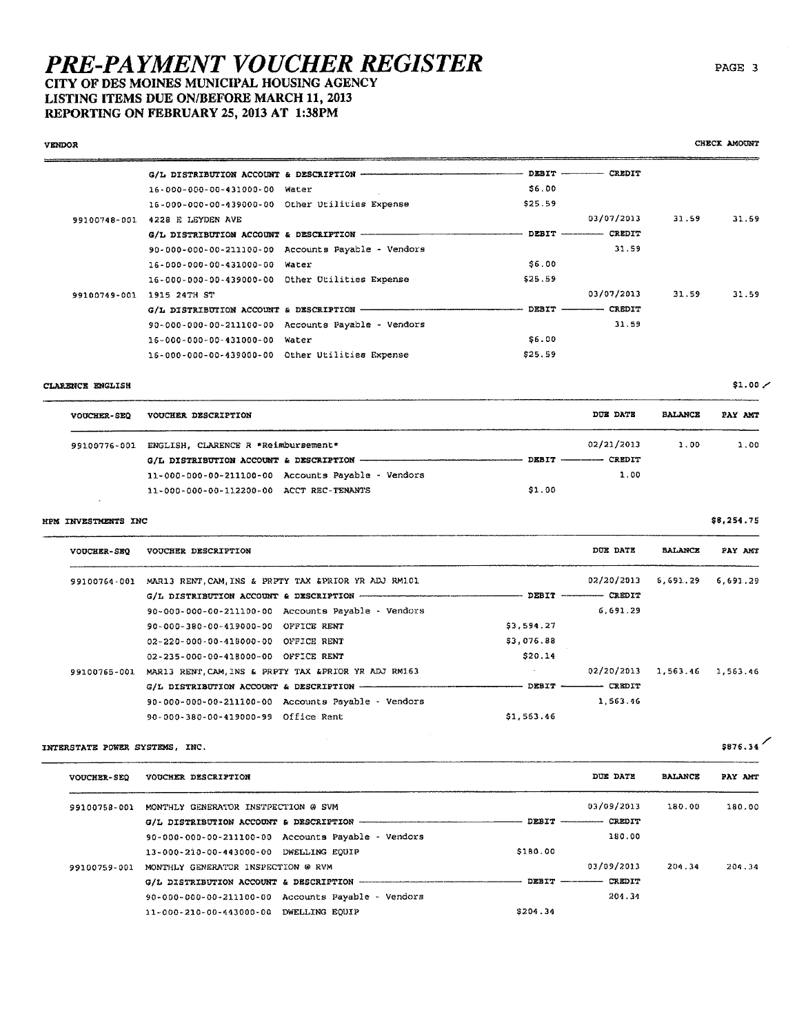CITY OF DES MOINES MUNICIPAL HOUSING AGENCY LISTING ITEMS DUE ON/BEFORE MARCH 11, 2013

REPORTING ON FEBRUARY 25, 2013 AT 1:38PM

#### **VENDOR**  $-$  DEBIT  $-$  CREDIT G/L DISTRIBUTION ACCOUNT & DESCRIPTION -16-000-000-00-431000-00 Water \$6.00 16-000-000-00-439000-00 Other Utilities Expense \$25.59 03/07/2013 31.59 99100748-001 4228 E LEYDEN AVE 31.59  $-$  CREDIT  $G/L$  DISTRIBUTION ACCOUNT & DESCRIPTION  $-- \sim$  DEBIT  $\sim$ 31.59 90-000-000-00-211100-00 Accounts Payable - Vendors \$6.00 16-000-000-00-431000-00 Water 16-000-000-00-439000-00 Other Otilities Expense \$25.59 99100749-001 1915 24TH ST 03/07/2013 31.59 31.59  $-$  DEBIT  $CRR$ G/L DISTRIBUTION ACCOUNT & DESCRIPTION --90-000-000-00-211100-00 Accounts Payable - Vendors 31.59 \$6.00 16-000-000-00-431000-00 Water \$25.59 16-000-000-00-439000-00 Other Utilities Expense

#### CLARENCE ENGLISH

| <b>VOUCHER-SEO</b> | VOUCHER DESCRIPTION                                | DOE DATE                 | <b>BALANCE</b> | PAY AMT |
|--------------------|----------------------------------------------------|--------------------------|----------------|---------|
|                    | 99100776-001 ENGLISH, CLARENCE R *Reimbursement*   | 02/21/2013               | 1.00           | 1.00    |
|                    |                                                    | DEBIT ----------- CREDIT |                |         |
|                    | 11-000-000-00-211100-00 Accounts Payable - Vendors | 1.00                     |                |         |
|                    | 11-000-000-00-112200-00 ACCT REC-TENANTS           | \$1.00                   |                |         |

#### HPM INVESTMENTS INC

| <b>VOUCHER-SEO</b> | VOUCHER DESCRIPTION                                                |            | DUE DATE                | <b>BALANCE</b>        | PAY ANT |
|--------------------|--------------------------------------------------------------------|------------|-------------------------|-----------------------|---------|
|                    | 99100764-001 MAR13 RENT, CAM, INS & PRPTY TAX & PRIOR YR ADJ RM101 |            | 02/20/2013              | $6,691,29$ $6.691,29$ |         |
|                    |                                                                    |            | DEBIT ---------- CREDIT |                       |         |
|                    | 90-000-000-00-211100-00 Accounts Payable - Vendors                 |            | 6,691.29                |                       |         |
|                    | 90-000-380-00-419000-00 OFFICE RENT                                | 53,594.27  |                         |                       |         |
|                    | 02-220-000-00-418000-00 OFFICE RENT                                | \$3,076.88 |                         |                       |         |
|                    | 02-235-000-00-418000-00 OFFICE RENT                                | \$20.14    |                         |                       |         |
| 99100765-001       | MAR13 RENT. CAM, INS & PRPTY TAX & PRIOR YR ADJ RM163              |            | 02/20/2013              | 1,563.46 1,563.46     |         |
|                    |                                                                    |            | DEBIT --------- CREDIT  |                       |         |
|                    | 90-000-000-00-211100-00 Accounts Payable - Vendors                 |            | 1,563.46                |                       |         |
|                    | 90-000-380-00-419000-99 Office Rent                                | \$1.563.46 |                         |                       |         |

#### INTERSTATE POWER SYSTEMS. INC.

| \$876 |  |
|-------|--|
|-------|--|

| <b>VOUCHER-SEO</b> | VOUCHER DESCRIPTION                                 |                           | DUE DATE      | <b>BALANCE</b> | PAY AMT |
|--------------------|-----------------------------------------------------|---------------------------|---------------|----------------|---------|
| 99100758-001       | MONTHLY GENERATOR INSTPECTION @ SVM                 |                           | 03/09/2013    | 180.00         | 180.00  |
|                    |                                                     | DEBIT                     | <b>CREDIT</b> |                |         |
|                    | 90-000-000-00-211100-00 Accounts Payable - Vendors  |                           | 180.00        |                |         |
|                    | 13-000-210-00-443000-00 DWELLING EOUIP              | \$180.00                  |               |                |         |
| 99100759-001       | MONTHLY GENERATOR INSPECTION @ RVM                  |                           | 03/09/2013    | 204.34         | 204.34  |
|                    | G/L DISTRIBUTION ACCOUNT & DESCRIPTION ------------ | $DEBIT$ $\longrightarrow$ | CREDIT        |                |         |
|                    | 90-000-000-00-211100-00 Accounts Payable - Vendors  |                           | 204.34        |                |         |
|                    | 11-000-210-00-443000-00 DWELLING EOUIP              | \$204.34                  |               |                |         |

CHECK AMOUNT

\$8,254.75

 $$1.00/$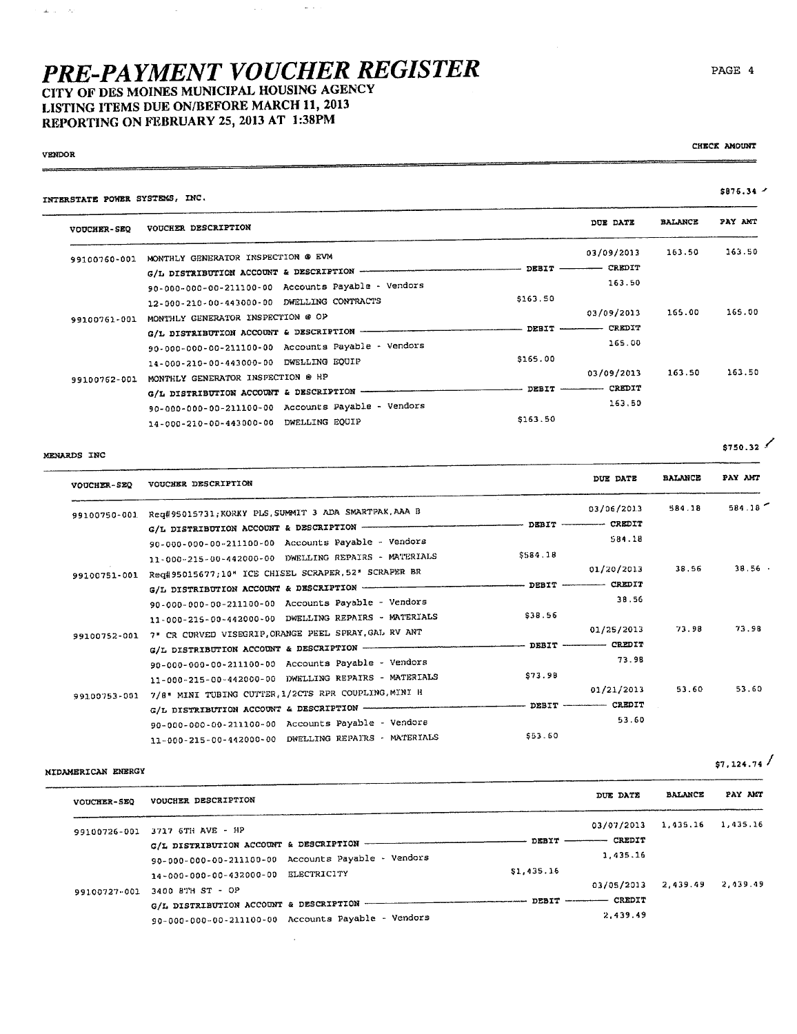$\omega_{\rm{eff}}$ 

CITY OF DES MOINES MUNICIPAL HOUSING AGENCY LISTING ITEMS DUE ON/BEFORE MARCH 11, 2013 REPORTING ON FEBRUARY 25,2013 AT 1:38PM

 $\bar{z}$ 

#### VENOR

 $\blacksquare$ 

 $\Delta \omega_{\rm{eff}} = \sigma_{\rm{eff}}$ 

CHECK AMOUNT

| INTERSTATE POWER SYSTEMS, INC.         |                                                                                                                                                                                                                                                                                                                                                                                 |               |                | 5876.34 - |
|----------------------------------------|---------------------------------------------------------------------------------------------------------------------------------------------------------------------------------------------------------------------------------------------------------------------------------------------------------------------------------------------------------------------------------|---------------|----------------|-----------|
| VOUCHER DESCRIPTION                    |                                                                                                                                                                                                                                                                                                                                                                                 | DUE DATE      | <b>BALANCE</b> | PAY AMT   |
|                                        |                                                                                                                                                                                                                                                                                                                                                                                 | 03/09/2013    | 163.50         | 163.50    |
|                                        | DEBIT                                                                                                                                                                                                                                                                                                                                                                           | <b>CREDIT</b> |                |           |
|                                        |                                                                                                                                                                                                                                                                                                                                                                                 | 163.50        |                |           |
|                                        | \$163.50                                                                                                                                                                                                                                                                                                                                                                        |               |                |           |
|                                        |                                                                                                                                                                                                                                                                                                                                                                                 | 03/09/2013    | 165.00         | 165.00    |
|                                        | DEBIT                                                                                                                                                                                                                                                                                                                                                                           | CREDIT        |                |           |
|                                        |                                                                                                                                                                                                                                                                                                                                                                                 | 165.00        |                |           |
| 14-000-210-00-443000-00 DWELLING EQUIP | \$165.00                                                                                                                                                                                                                                                                                                                                                                        |               |                |           |
| MONTHLY GENERATOR INSPECTION @ HP      |                                                                                                                                                                                                                                                                                                                                                                                 | 03/09/2013    | 163.50         | 163.50    |
| G/L DISTRIBUTION ACCOUNT & DESCRIPTION | DEBIT                                                                                                                                                                                                                                                                                                                                                                           | <b>CREDIT</b> |                |           |
|                                        |                                                                                                                                                                                                                                                                                                                                                                                 | 163.50        |                |           |
| 14-000-210-00-443000-00 DWELLING EQUIP | \$163.50                                                                                                                                                                                                                                                                                                                                                                        |               |                |           |
|                                        | MONTHLY GENERATOR INSPECTION @ EVM<br>G/L DISTRIBUTION ACCOUNT & DESCRIPTION -<br>90-000-000-00-211100-00 Accounts Payable - Vendors<br>12-000-210-00-443000-00 DWELLING CONTRACTS<br>MONTHLY GENERATOR INSPECTION @ OP<br>G/L DISTRIBUTION ACCOUNT & DESCRIPTION -<br>90-000-000-00-211100-00 Accounts Payable - Vendors<br>90-000-000-00-211100-00 Accounts Payable - Vendors |               |                |           |

#### MENARDS INC

| <b>VOUCHER-SEQ</b> | VOUCHER DESCRIPTION                                   |          | DUE DATE                        | <b>BALANCE</b> | PAY AMT |
|--------------------|-------------------------------------------------------|----------|---------------------------------|----------------|---------|
| 99100750-001       | Req#95015731; KORKY PLS, SUMMIT 3 ADA SMARTPAK, AAA B |          | 03/06/2013                      | 584.18         | 584.18  |
|                    |                                                       |          |                                 |                |         |
|                    | 90-000-000-00-211100-00 Accounts Payable - Vendors    |          | 584.18                          |                |         |
|                    | 11-000-215-00-442000-00 DWELLING REPAIRS - MATERIALS  | \$584.18 |                                 |                |         |
| 99100751-001       | Req#95015677;10* ICE CHISEL SCRAPER, 52* SCRAPER BR   |          | 01/20/2013                      | 38.56          | 38.56   |
|                    |                                                       |          |                                 |                |         |
|                    | 90-000-000-00-211100-00 Accounts Payable - Vendors    |          | 38.56                           |                |         |
|                    | 11-000-215-00-442000-00 DWELLING REPAIRS - MATERIALS  | \$38.56  |                                 |                |         |
| 99100752-001       | 7" CR CURVED VISEGRIP, ORANGE PEEL SPRAY, GAL RV ANT  |          | 01/25/2013                      | 73.98          | 73.98   |
|                    |                                                       |          | - DEBIT -------- CREDIT         |                |         |
|                    | 90-000-000-00-211100-00 Accounts Payable - Vendors    |          | 73.98                           |                |         |
|                    | 11-000-215-00-442000-00 DWELLING REPAIRS - MATERIALS  | \$73.98  |                                 |                |         |
| 99100753-001       | 7/8" MINI TUBING CUTTER, 1/2CTS RPR COUPLING, MINI H  |          | 01/21/2013                      | 53.60          | 53.60   |
|                    |                                                       |          | ----- DEBIT ------------ CREDIT |                |         |
|                    | 90-000-000-00-211100-00 Accounts Payable - Vendors    |          | 53.60                           |                |         |
|                    | 11-000-215-00-442000-00 DWELLING REPAIRS - MATERIALS  | 553.60   |                                 |                |         |

### MIDAMERICAN ENERGY

|  | $$7,124.74$ / |  |  |  |
|--|---------------|--|--|--|
|  |               |  |  |  |

| <b>VOUCHER-SEO</b> | VOUCHER DESCRIPTION                             |                                                    |            | DUE DATE                  | <b>BALANCE</b> | PAY AMT  |
|--------------------|-------------------------------------------------|----------------------------------------------------|------------|---------------------------|----------------|----------|
| 99100726-001       | 3717 6TH AVE - HP                               |                                                    |            | 03/07/2013                | 1.435.16       | 1.435.16 |
|                    |                                                 |                                                    |            | DEBIT ------- CREDIT      |                |          |
|                    | G/L DISTRIBUTION ACCOUNT & DESCRIPTION -------- |                                                    |            |                           |                |          |
|                    |                                                 | 90-000-000-00-211100-00 Accounts Payable - Vendors |            | 1,435.16                  |                |          |
|                    | 14-000-000-00-432000-00 ELECTRICITY             |                                                    | \$1,435.16 |                           |                |          |
|                    |                                                 |                                                    |            | 03/05/2013                | 2,439.49       | 2,439.49 |
| 99100727-001       | 3400 8TH ST - OP                                |                                                    |            |                           |                |          |
|                    |                                                 | G/L DISTRIBUTION ACCOUNT & DESCRIPTION ----------- |            | DEBIT ------------ CREDIT |                |          |
|                    |                                                 | 90-000-000-00-211100-00 Accounts Payable - Vendors |            | 2.439.49                  |                |          |

 $\bar{z}$ 

 $$750.32$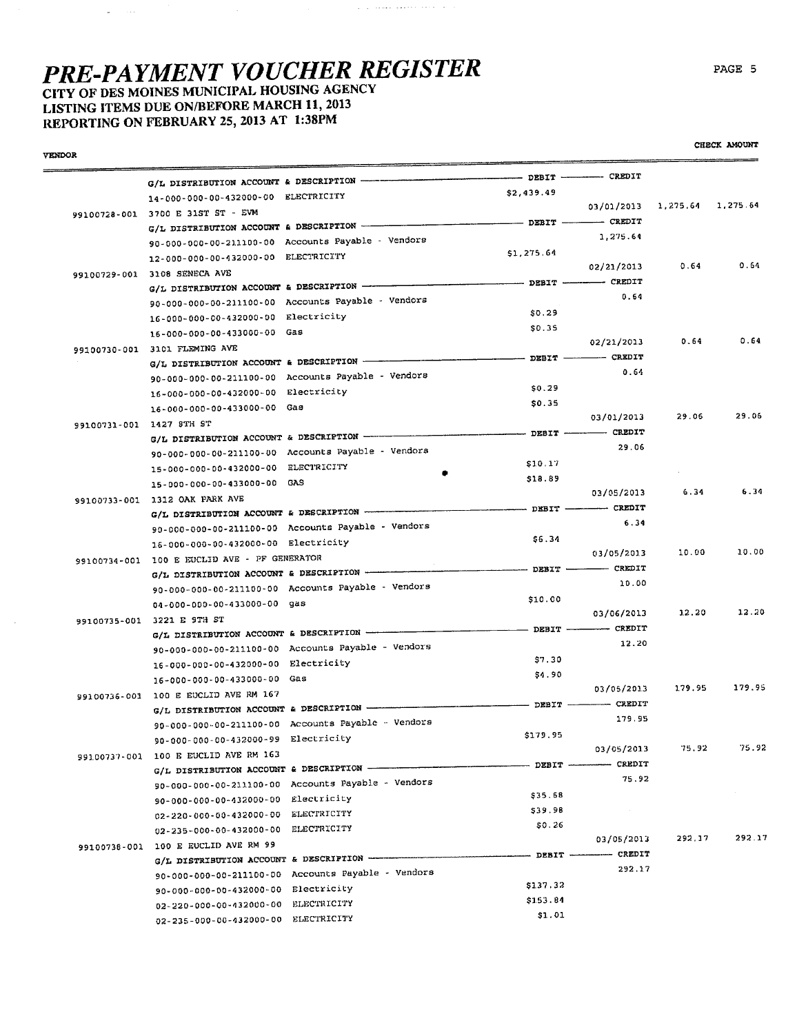$\sim$ 

LISTING ITEMS DUE ON/BEFORE MARCH 11, 2013 REPORTING ON FEBRUARY 25, 2013 AT 1:38PM

 $\mathcal{L}_{\text{max}}$  , and

|                          |                                                |                                                    | DEBIT --------- CREDIT                                                                                                                                                                                                                                                                                                                                              |                                                                                                                                                                                                                                                                                                                                                                                                                                                                                 |        |        |
|--------------------------|------------------------------------------------|----------------------------------------------------|---------------------------------------------------------------------------------------------------------------------------------------------------------------------------------------------------------------------------------------------------------------------------------------------------------------------------------------------------------------------|---------------------------------------------------------------------------------------------------------------------------------------------------------------------------------------------------------------------------------------------------------------------------------------------------------------------------------------------------------------------------------------------------------------------------------------------------------------------------------|--------|--------|
|                          |                                                |                                                    | \$2,439.49                                                                                                                                                                                                                                                                                                                                                          |                                                                                                                                                                                                                                                                                                                                                                                                                                                                                 |        |        |
|                          | 14-000-000-00-432000-00 ELECTRICITY            |                                                    |                                                                                                                                                                                                                                                                                                                                                                     | 03/01/2013 1,275.64 1,275.64                                                                                                                                                                                                                                                                                                                                                                                                                                                    |        |        |
|                          | 99100728-001 3700 E 31ST ST - EVM              |                                                    |                                                                                                                                                                                                                                                                                                                                                                     |                                                                                                                                                                                                                                                                                                                                                                                                                                                                                 |        |        |
|                          |                                                |                                                    |                                                                                                                                                                                                                                                                                                                                                                     | 1.275.64                                                                                                                                                                                                                                                                                                                                                                                                                                                                        |        |        |
|                          |                                                | 90-000-000-00-211100-00 Accounts Payable - Vendors | \$1,275.64                                                                                                                                                                                                                                                                                                                                                          |                                                                                                                                                                                                                                                                                                                                                                                                                                                                                 |        |        |
|                          | 12-000-000-00-432000-00 ELECTRICITY            |                                                    |                                                                                                                                                                                                                                                                                                                                                                     | 02/21/2013                                                                                                                                                                                                                                                                                                                                                                                                                                                                      | 0.64   | 0.64   |
|                          | 99100729-001 3108 SENECA AVE                   |                                                    | DEBIT --------- CREDIT                                                                                                                                                                                                                                                                                                                                              |                                                                                                                                                                                                                                                                                                                                                                                                                                                                                 |        |        |
|                          | G/L DISTRIBUTION ACCOUNT & DESCRIPTION -----   |                                                    |                                                                                                                                                                                                                                                                                                                                                                     | 0.64                                                                                                                                                                                                                                                                                                                                                                                                                                                                            |        |        |
|                          |                                                | 90-000-000-00-211100-00 Accounts Payable - Vendors | \$0.29                                                                                                                                                                                                                                                                                                                                                              |                                                                                                                                                                                                                                                                                                                                                                                                                                                                                 |        |        |
|                          | 16-000-000-00-432000-00 Electricity            |                                                    | \$0.35                                                                                                                                                                                                                                                                                                                                                              |                                                                                                                                                                                                                                                                                                                                                                                                                                                                                 |        |        |
|                          | 16-000-000-00-433000-00 Gas                    |                                                    |                                                                                                                                                                                                                                                                                                                                                                     | 02/21/2013                                                                                                                                                                                                                                                                                                                                                                                                                                                                      | 0.64   | 0.64   |
|                          | 99100730-001 3101 FLEMING AVE                  |                                                    |                                                                                                                                                                                                                                                                                                                                                                     |                                                                                                                                                                                                                                                                                                                                                                                                                                                                                 |        |        |
|                          |                                                |                                                    |                                                                                                                                                                                                                                                                                                                                                                     | 0.64                                                                                                                                                                                                                                                                                                                                                                                                                                                                            |        |        |
|                          |                                                | 90-000-000-00-211100-00 Accounts Payable - Vendors |                                                                                                                                                                                                                                                                                                                                                                     |                                                                                                                                                                                                                                                                                                                                                                                                                                                                                 |        |        |
|                          | 16-000-000-00-432000-00 Electricity            |                                                    | \$0.29                                                                                                                                                                                                                                                                                                                                                              |                                                                                                                                                                                                                                                                                                                                                                                                                                                                                 |        |        |
|                          | 16-000-000-00-433000-00 Gas                    |                                                    | \$0.35                                                                                                                                                                                                                                                                                                                                                              | 03/01/2013                                                                                                                                                                                                                                                                                                                                                                                                                                                                      | 29.06  | 29.06  |
| 99100731-001 1427 STH ST |                                                |                                                    |                                                                                                                                                                                                                                                                                                                                                                     |                                                                                                                                                                                                                                                                                                                                                                                                                                                                                 |        |        |
|                          |                                                |                                                    |                                                                                                                                                                                                                                                                                                                                                                     | - DEBIT -------- CREDIT<br>29.06                                                                                                                                                                                                                                                                                                                                                                                                                                                |        |        |
|                          |                                                | 90-000-000-00-211100-00 Accounts Payable - Vendors |                                                                                                                                                                                                                                                                                                                                                                     |                                                                                                                                                                                                                                                                                                                                                                                                                                                                                 |        |        |
|                          | 15-000-000-00-432000-00 ELECTRICITY            |                                                    | \$10.17                                                                                                                                                                                                                                                                                                                                                             |                                                                                                                                                                                                                                                                                                                                                                                                                                                                                 |        |        |
|                          | 15-000-000-00-433000-00 GAS                    |                                                    | \$18.89                                                                                                                                                                                                                                                                                                                                                             |                                                                                                                                                                                                                                                                                                                                                                                                                                                                                 |        | 6.34   |
|                          | 99100733-001 1312 OAK PARK AVE                 |                                                    |                                                                                                                                                                                                                                                                                                                                                                     | 03/05/2013                                                                                                                                                                                                                                                                                                                                                                                                                                                                      | 6.34   |        |
|                          |                                                |                                                    |                                                                                                                                                                                                                                                                                                                                                                     |                                                                                                                                                                                                                                                                                                                                                                                                                                                                                 |        |        |
|                          |                                                | 90-000-000-00-211100-00 Accounts Payable - Vendors |                                                                                                                                                                                                                                                                                                                                                                     | 6.34                                                                                                                                                                                                                                                                                                                                                                                                                                                                            |        |        |
|                          | 16-000-000-00-432000-00 Electricity            |                                                    | \$6.34                                                                                                                                                                                                                                                                                                                                                              |                                                                                                                                                                                                                                                                                                                                                                                                                                                                                 |        |        |
|                          | 99100734-001 100 E EUCLID AVE - PF GENERATOR   |                                                    |                                                                                                                                                                                                                                                                                                                                                                     | 03/05/2013                                                                                                                                                                                                                                                                                                                                                                                                                                                                      | 10.00  | 10.00  |
|                          |                                                | G/L DISTRIBUTION ACCOUNT & DESCRIPTION             | $\begin{minipage}{.4\linewidth} \begin{tabular}{l} \textbf{0} & \textbf{0} & \textbf{0} & \textbf{0} & \textbf{0} \\ \textbf{0} & \textbf{0} & \textbf{0} & \textbf{0} \\ \textbf{0} & \textbf{0} & \textbf{0} & \textbf{0} \\ \textbf{0} & \textbf{0} & \textbf{0} & \textbf{0} \\ \textbf{0} & \textbf{0} & \textbf{0} & \textbf{0} \end{tabular} \end{minipage}$ |                                                                                                                                                                                                                                                                                                                                                                                                                                                                                 |        |        |
|                          |                                                | 90-000-000-00-211100-00 Accounts Payable - Vendors |                                                                                                                                                                                                                                                                                                                                                                     | 10.00                                                                                                                                                                                                                                                                                                                                                                                                                                                                           |        |        |
|                          | 04-000-000-00-433000-00 gas                    |                                                    | \$10.00                                                                                                                                                                                                                                                                                                                                                             |                                                                                                                                                                                                                                                                                                                                                                                                                                                                                 |        |        |
|                          | 99100735-001 3221 E 9TH ST                     |                                                    |                                                                                                                                                                                                                                                                                                                                                                     | 03/06/2013                                                                                                                                                                                                                                                                                                                                                                                                                                                                      | 3.2.20 | 12.20  |
|                          | G/L DISTRIBUTION ACCOUNT & DESCRIPTION --      |                                                    |                                                                                                                                                                                                                                                                                                                                                                     | $-$ DEBIT $-$ CREDIT                                                                                                                                                                                                                                                                                                                                                                                                                                                            |        |        |
|                          |                                                | 90-000-000-00-211100-00 Accounts Payable - Vendors |                                                                                                                                                                                                                                                                                                                                                                     | 12.20                                                                                                                                                                                                                                                                                                                                                                                                                                                                           |        |        |
|                          | 16-000-000-00-432000-00 Electricity            |                                                    | \$7.30                                                                                                                                                                                                                                                                                                                                                              |                                                                                                                                                                                                                                                                                                                                                                                                                                                                                 |        |        |
|                          | 16-000-000-00-433000-00 Gas                    |                                                    | \$4.90                                                                                                                                                                                                                                                                                                                                                              |                                                                                                                                                                                                                                                                                                                                                                                                                                                                                 |        |        |
|                          | 99100736-001 100 E EUCLID AVE RM 167           |                                                    |                                                                                                                                                                                                                                                                                                                                                                     | 03/05/2013                                                                                                                                                                                                                                                                                                                                                                                                                                                                      | 179.95 | 179.95 |
|                          |                                                | G/L DISTRIBUTION ACCOUNT & DESCRIPTION             | $\frac{1}{1}$ DEBIT $\frac{1}{1}$                                                                                                                                                                                                                                                                                                                                   | $\overline{\phantom{a}}$ $\overline{\phantom{a}}$ $\overline{\phantom{a}}$ $\overline{\phantom{a}}$ $\overline{\phantom{a}}$ $\overline{\phantom{a}}$ $\overline{\phantom{a}}$ $\overline{\phantom{a}}$ $\overline{\phantom{a}}$ $\overline{\phantom{a}}$ $\overline{\phantom{a}}$ $\overline{\phantom{a}}$ $\overline{\phantom{a}}$ $\overline{\phantom{a}}$ $\overline{\phantom{a}}$ $\overline{\phantom{a}}$ $\overline{\phantom{a}}$ $\overline{\phantom{a}}$ $\overline{\$ |        |        |
|                          |                                                | 90-000-000-00-211100-00 Accounts Payable - Vendors |                                                                                                                                                                                                                                                                                                                                                                     | 179.95                                                                                                                                                                                                                                                                                                                                                                                                                                                                          |        |        |
|                          | 90-000-000-00-432000-99 Electricity            |                                                    | \$179.95                                                                                                                                                                                                                                                                                                                                                            |                                                                                                                                                                                                                                                                                                                                                                                                                                                                                 |        |        |
|                          | 99100737-001 100 E EUCLID AVE RM 163           |                                                    |                                                                                                                                                                                                                                                                                                                                                                     | 03/05/2013                                                                                                                                                                                                                                                                                                                                                                                                                                                                      | 75.92  | 75.92  |
|                          | G/L DISTRIBUTION ACCOUNT & DESCRIPTION ------- |                                                    |                                                                                                                                                                                                                                                                                                                                                                     | - DEBIT ----------- CREDIT                                                                                                                                                                                                                                                                                                                                                                                                                                                      |        |        |
|                          |                                                | 90-000-000-00-211100-00 Accounts Payable - Vendors |                                                                                                                                                                                                                                                                                                                                                                     | 75.92                                                                                                                                                                                                                                                                                                                                                                                                                                                                           |        |        |
|                          | 90-000-000-00-432000-00 Electricity            |                                                    | \$35.68                                                                                                                                                                                                                                                                                                                                                             |                                                                                                                                                                                                                                                                                                                                                                                                                                                                                 |        |        |
|                          | 02-220-000-00-432000-00                        | ELECTRICITY                                        | \$39.98                                                                                                                                                                                                                                                                                                                                                             |                                                                                                                                                                                                                                                                                                                                                                                                                                                                                 |        |        |
|                          | $02 - 235 - 000 - 00 - 432000 - 00$            | ELECTRICITY                                        | \$0.26                                                                                                                                                                                                                                                                                                                                                              |                                                                                                                                                                                                                                                                                                                                                                                                                                                                                 |        |        |
|                          | 99100738-001 100 E EUCLID AVE RM 99            |                                                    |                                                                                                                                                                                                                                                                                                                                                                     | 03/05/2013                                                                                                                                                                                                                                                                                                                                                                                                                                                                      | 292.17 | 292.17 |
|                          | G/L DISTRIBUTION ACCOUNT & DESCRIPTION         |                                                    |                                                                                                                                                                                                                                                                                                                                                                     | - DEBIT -------- CREDIT                                                                                                                                                                                                                                                                                                                                                                                                                                                         |        |        |
|                          |                                                | 90-000-000-00-211100-00 Accounts Payable - Vendors |                                                                                                                                                                                                                                                                                                                                                                     | 292.17                                                                                                                                                                                                                                                                                                                                                                                                                                                                          |        |        |
|                          | 90-000-000-00-432000-00 Electricity            |                                                    | \$137.32                                                                                                                                                                                                                                                                                                                                                            |                                                                                                                                                                                                                                                                                                                                                                                                                                                                                 |        |        |
|                          | 02-220-000-00-432000-00                        | ELECTRICITY                                        | \$153.84                                                                                                                                                                                                                                                                                                                                                            |                                                                                                                                                                                                                                                                                                                                                                                                                                                                                 |        |        |
|                          | 02-235-000-00-432000-00 ELECTRICITY            |                                                    | \$1.01                                                                                                                                                                                                                                                                                                                                                              |                                                                                                                                                                                                                                                                                                                                                                                                                                                                                 |        |        |

 $\gamma$  , and a single section of the  $\gamma$ 

CHECK AMOUNT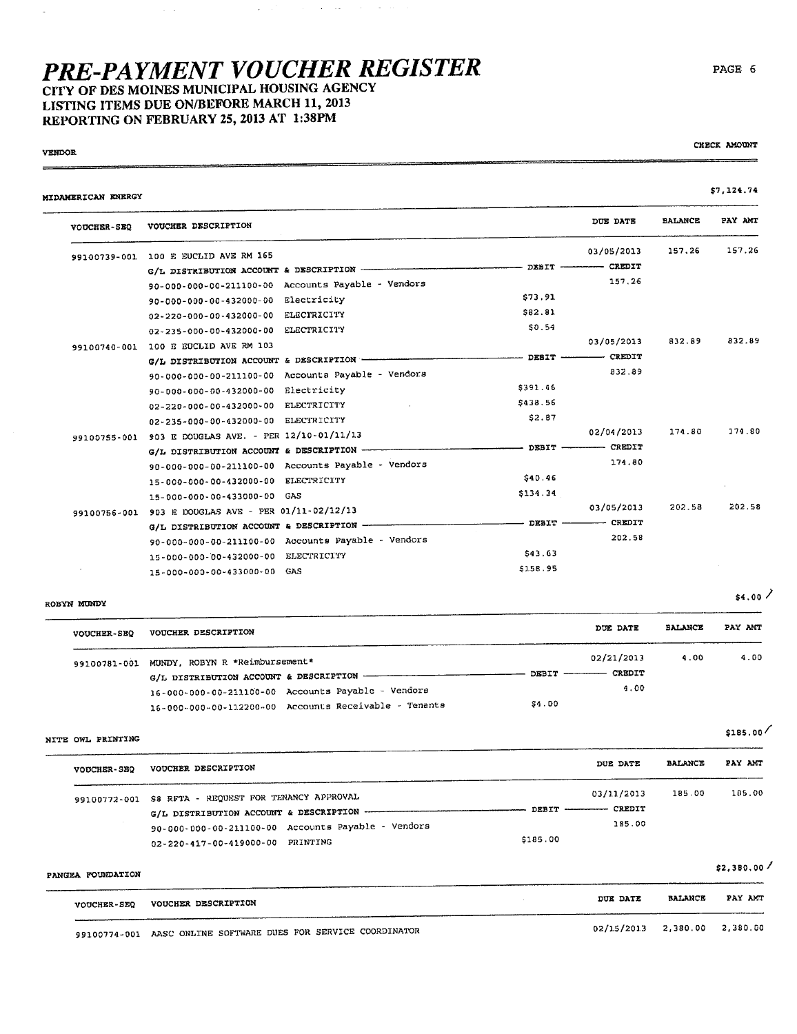## **PRE-PAYMENT VOUCHER REGISTER** CITY OF DES MOINES MUNICIPAL HOUSING AGENCY LISTING ITEMS DUE ON/BEFORE MARCH 11, 2013

 $\mathcal{L}(\mathcal{L}^{\mathcal{L}}(\mathcal{L}^{\mathcal{L}}))$  , where  $\mathcal{L}(\mathcal{L}^{\mathcal{L}}(\mathcal{L}^{\mathcal{L}}))$  and  $\mathcal{L}(\mathcal{L}^{\mathcal{L}}(\mathcal{L}^{\mathcal{L}}))$ 

REPORTING ON FEBRUARY 25, 2013 AT 1:38PM

 $\hat{A}^{\dagger}$  .

#### **VENDOR**

 $\equiv$ 

 $\overline{\phantom{a}}$ 

#### MIDAMERICAN ENERGY

| VOUCHER-SEQ  | VOUCHER DESCRIPTION                                |             |               | DUE DATE               | <b>BALANCE</b> | PAY AMT |
|--------------|----------------------------------------------------|-------------|---------------|------------------------|----------------|---------|
| 99100739-001 | 100 E EUCLID AVE RM 165                            |             |               | 03/05/2013             | 157.26         | 157.26  |
|              | G/L DISTRIBUTION ACCOUNT & DESCRIPTION ----        |             | $-$ DEBIT $-$ | ------ CREDIT          |                |         |
|              | 90-000-000-00-211100-00 Accounts Payable - Vendors |             |               | 157.26                 |                |         |
|              | 90-000-000-00-432000-00                            | Electricity | \$73.91       |                        |                |         |
|              | 02-220-000-00-432000-00                            | ELECTRICITY | 582.81        |                        |                |         |
|              | 02-235-000-00-432000-00                            | ELECTRICITY | \$0.54        |                        |                |         |
| 99100740-001 | 100 E EUCLID AVE RM 103                            |             |               | 03/05/2013             | 832.89         | 832.89  |
|              | G/L DISTRIBUTION ACCOUNT & DESCRIPTION -           |             | $-$ DEBIT $-$ | $-$ CREDIT             |                |         |
|              | 90-000-000-00-211100-00 Accounts Payable - Vendors |             |               | 832.89                 |                |         |
|              | 90-000-000-00-432000-00                            | Electricity | \$391.46      |                        |                |         |
|              | 02-220-000-00-432000-00 ELECTRICITY                |             | \$438.56      |                        |                |         |
|              | $02 - 235 - 000 - 00 - 432000 - 00$                | ELECTRICITY | \$2.87        |                        |                |         |
| 99100755-001 | 903 E DOUGLAS AVE. - PER 12/10-01/11/13            |             |               | 02/04/2013             | 174.80         | 174.80  |
|              | G/L DISTRIBUTION ACCOUNT & DESCRIPTION -           |             |               | - DEBIT ------- CREDIT |                |         |
|              | 90-000-000-00-211100-00 Accounts Payable - Vendors |             |               | 174.80                 |                |         |
|              | 15-000-000-00-432000-00 ELECTRICITY                |             | \$40.46       |                        |                |         |
|              | GAS<br>15-000-000-00-433000-00                     |             | \$134.34      |                        |                |         |
| 99100756-001 | 903 E DOUGLAS AVE - PER 01/11-02/12/13             |             |               | 03/05/2013             | 202.58         | 202.58  |
|              | G/L DISTRIBUTION ACCOUNT & DESCRIPTION -           |             | DEBIT         | $-$ CREDIT             |                |         |
|              | 90-000-000-00-211100-00 Accounts Payable - Vendors |             |               | 202 58                 |                |         |
|              | 15-000-000-00-432000-00                            | ELECTRICITY | \$43.63       |                        |                |         |
|              | GAS<br>15-000-000-00-433000-00                     |             | \$158.95      |                        |                |         |

#### ROBYN MUNDY

| <b>VOUCHER-SEQ</b> | VOUCHER DESCRIPTION                                                                     | DUE DATE                                | <b>BALANCE</b> | PAY ANT |
|--------------------|-----------------------------------------------------------------------------------------|-----------------------------------------|----------------|---------|
|                    | 99100781-001 MUNDY, ROBYN R *Reimbursement*<br>G/L DISTRIBUTION ACCOUNT & DESCRIPTION - | 02/21/2013<br>DEBIT ------------ CREDIT | 4.00           | 4.00    |
|                    | 16-000-000-00-211100-00 Accounts Payable - Vendors                                      | 4.00                                    |                |         |
|                    | 16-000-000-00-112200-00 Accounts Receivable - Tenants                                   | \$4.00                                  |                |         |

NITE OWL PRINTING

 $$185.00$ 

| <b>VOUCHER-SEQ</b> | VOUCHER DESCRIPTION                                                                                                                                                                                      |          | DUE DATE                                          | <b>BALANCE</b> | PAY AMT |
|--------------------|----------------------------------------------------------------------------------------------------------------------------------------------------------------------------------------------------------|----------|---------------------------------------------------|----------------|---------|
|                    | 99100772-001 S8 RFTA - REQUEST FOR TENANCY APPROVAL<br>G/L DISTRIBUTION ACCOUNT & DESCRIPTION ----------------<br>90-000-000-00-211100-00 Accounts Payable - Vendors<br>02-220-417-00-419000-00 PRINTING | \$185.00 | 03/11/2013<br>DEBIT ------------ CREDIT<br>185.00 | 185.00         | 185.00  |

| PANGEA FOUNDATION |                                                                |                              |                | .       |
|-------------------|----------------------------------------------------------------|------------------------------|----------------|---------|
|                   | <b>VOUCHER DESCRIPTION</b><br><b>VOUCHER-SEQ</b>               | DUE DATE                     | <b>BALANCE</b> | PAY AMT |
|                   | 99100774-001 AASC ONLINE SOFTWARE DUES FOR SERVICE COORDINATOR | 02/15/2013 2,380.00 2,380.00 |                |         |



CHECK AMOUNT

\$7,124.74

 $$4.00$  /

 $$2.380.00$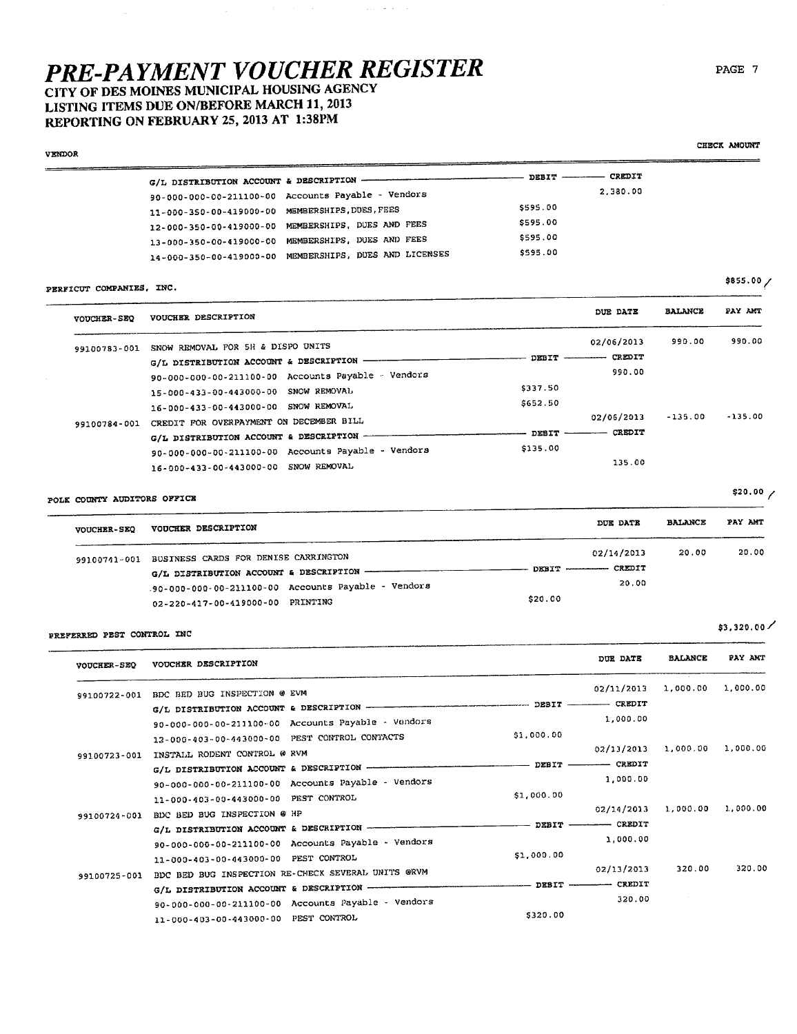CITY OF DES MOINES MUNICIPAL HOUSING AGENCY LISTING ITEMS DUE ON/BEFORE MARCH 11, 2013 REPORTING ON FEBRUARY 25, 2013 AT 1:38PM

| <b>VENDOR</b>                            |                                                        |               |          | CASCA AGOUNI |
|------------------------------------------|--------------------------------------------------------|---------------|----------|--------------|
| G/L DISTRIBUTION ACCOUNT & DESCRIPTION - |                                                        | DEBIT ------- | CREDIT   |              |
|                                          | 90-000-000-00-211100-00 Accounts Payable - Vendors     |               | 2,380.00 |              |
|                                          | 11-000-350-00-419000-00 MEMBERSHIPS, DUES, FEES        | \$595.00      |          |              |
|                                          | 12-000-350-00-419000-00 MEMBERSHIPS, DUES AND FEES     | \$595.00      |          |              |
|                                          | 13-000-350-00-419000-00 MEMBERSHIPS, DUES AND FEES     | \$595.00      |          |              |
|                                          | 14-000-350-00-419000-00 MEMBERSHIPS, DUES AND LICENSES | \$595.00      |          |              |
|                                          |                                                        |               |          | \$855.00     |

 $\langle \cdot, \cdot, \cdot \rangle = \langle \cdot, \cdot \rangle$  .

#### PERFICUT COMPANIES, INC.

| <b>VOUCHER-SEQ</b> | VOUCHER DESCRIPTION                                |                    | DUE DATE      | <b>BALANCE</b> | PAY AMT   |
|--------------------|----------------------------------------------------|--------------------|---------------|----------------|-----------|
| 99100783-001       | SNOW REMOVAL FOR 5H & DISPO UNITS                  |                    | 02/06/2013    | 990.00         | 990.00    |
|                    | G/L DISTRIBUTION ACCOUNT & DESCRIPTION             | DEBIT ------------ | CREDIT        |                |           |
|                    | 90-000-000-00-211100-00 Accounts Payable - Vendors |                    | 990.00        |                |           |
|                    | 15-000-433-00-443000-00 SNOW REMOVAL               | \$337.50           |               |                |           |
|                    | 16-000-433-00-443000-00 SNOW REMOVAL               | \$652.50           |               |                |           |
| 99100784-001       | CREDIT FOR OVERPAYMENT ON DECEMBER BILL            |                    | 02/06/2013    | $-135.00$      | $-135.00$ |
|                    | G/L DISTRIBUTION ACCOUNT & DESCRIPTION -           | DEBIT ----------   | <b>CREDIT</b> |                |           |
|                    | 90-000-000-00-211100-00 Accounts Payable - Vendors | \$135.00           |               |                |           |
|                    | 16-000-433-00-443000-00 SNOW REMOVAL               |                    | 135.00        |                |           |

### POLK COUNTY AUDITORS OFFICE

| <b>VOUCHER-SEQ</b> | <b>VOUCHER DESCRIPTION</b>                          | DUE DATE                   | <b>BALANCE</b> | PAY ANT |
|--------------------|-----------------------------------------------------|----------------------------|----------------|---------|
|                    | 99100741-001 BUSINESS CARDS FOR DENISE CARRINGTON   | 02/14/2013                 | 20.00          | 20,00   |
|                    | G/L DISTRIBUTION ACCOUNT & DESCRIPTION ----------   | DEBIT ------------- CREDIT |                |         |
|                    | .90-000-000-00-211100-00 Accounts Payable - Vendors | 20.00                      |                |         |
|                    | \$20.00<br>PRINTING<br>02-220-417-00-419000-00      |                            |                |         |

#### PREFERRED PEST CONTROL INC

 $\overline{\phantom{a}}$ 

| <b>VOUCHER-SEQ</b> | VOUCHER DESCRIPTION                                      |                 | DUE DATE                  | <b>BALANCE</b> | PAY ANT  |
|--------------------|----------------------------------------------------------|-----------------|---------------------------|----------------|----------|
| 99100722-001       | BDC BED BUG INSPECTION @ EVM                             |                 | 02/11/2013                | 1,000.00       | 1,000.00 |
|                    | G/L DISTRIBUTION ACCOUNT & DESCRIPTION -                 |                 | DEBIT ------------ CREDIT |                |          |
|                    | 90-000-000-00-211100-00 Accounts Payable - Vendors       |                 | 1,000.00                  |                |          |
|                    | 12-000-403-00-443000-00 PEST CONTROL CONTACTS            | \$1,000.00      |                           |                |          |
| 99100723-001       | INSTALL RODENT CONTROL @ RVM                             |                 | 02/13/2013                | 1,000.00       | 1,000.00 |
|                    | G/L DISTRIBUTION ACCOUNT & DESCRIPTION -                 |                 | $-$ DEBIT $-$ CREDIT      |                |          |
|                    | 90-000-000-00-211100-00 Accounts Payable - Vendors       |                 | 1,000.00                  |                |          |
|                    | 11-000-403-00-443000-00 PEST CONTROL                     | \$1,000.00      |                           |                |          |
| 99100724-001       | BDC BED BUG INSPECTION @ HP                              |                 | 02/14/2013                | 1,000.00       | 1,000.00 |
|                    |                                                          | DEBIT -         | ------- CREDIT            |                |          |
|                    | 90-000-000-00-211100-00 Accounts Payable - Vendors       |                 | 1,000.00                  |                |          |
|                    | 11-000-403-00-443000-00 PEST CONTROL                     | \$1,000.00      |                           |                |          |
| 99100725-001       | BDC BED BUG INSPECTION RE-CHECK SEVERAL UNITS ORVM       |                 | 02/13/2013                | 320.00         | 320.00   |
|                    | G/L DISTRIBUTION ACCOUNT & DESCRIPTION ----------------- | $---$ DESIT $-$ | CREDIT                    |                |          |
|                    | 90-000-000-00-211100-00 Accounts Payable - Vendors       |                 | 320.00                    |                |          |
|                    | PEST CONTROL<br>11-000-403-00-443000-00                  | \$320.00        |                           |                |          |

#### PAGE 7

CHECK AMOUNT

\$855.00  $/$ 

\$20.00 /

 $$3,320.00$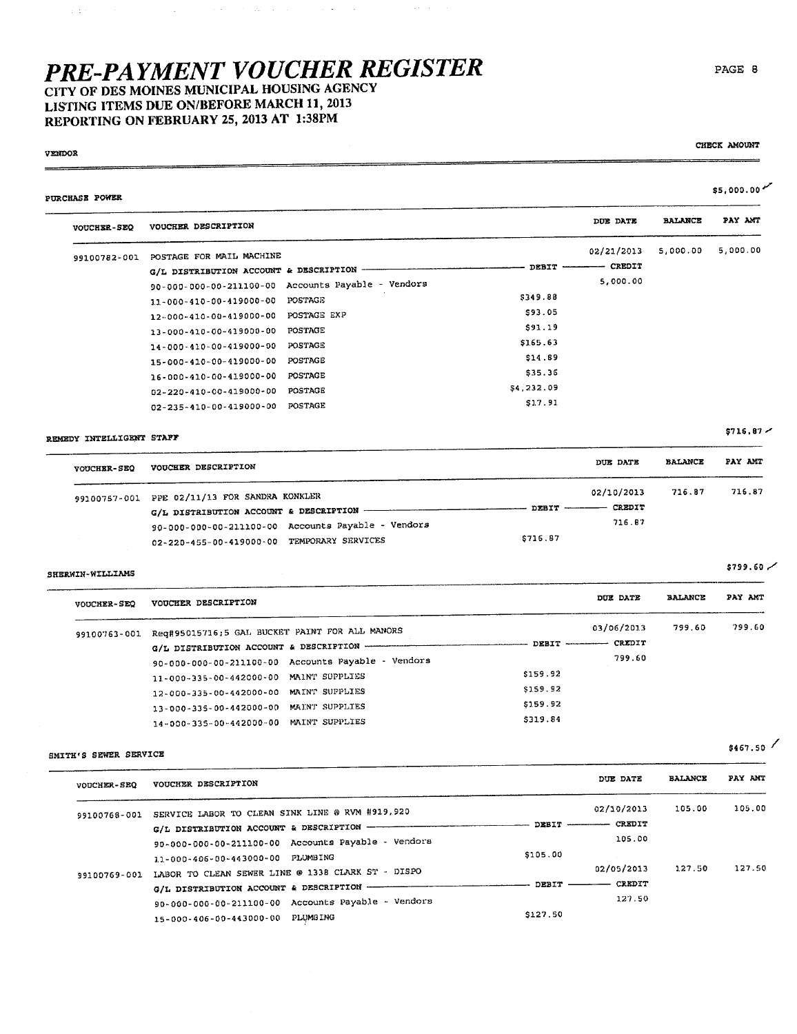$\mathcal{A}^{\mathcal{A}}$  and  $\mathcal{A}^{\mathcal{A}}$  are the set of the set of the set of the set of  $\mathcal{A}$ 

CITY OF DES MOINES MUNICIPAL HOUSING AGENCY LISTING ITEMS DUE ON/BEFORE MARCH 11, 2013 REPORTING ON FEBRUARY 25, 2013 AT 1:38PM

#### **VENDOR**

 $\pm$  18

CHECK AMOUNT

| <b>VOUCHER-SEQ</b>       | VOUCHER DESCRIPTION                                            |               | DUE DATE               | <b>BALANCE</b> | PAY ANT       |
|--------------------------|----------------------------------------------------------------|---------------|------------------------|----------------|---------------|
|                          |                                                                |               |                        |                | 5,000.00      |
|                          | 99100782-001 POSTAGE FOR MAIL MACHINE                          |               | 02/21/2013<br>- CREDIT | 5,000.00       |               |
|                          | G/L DISTRIBUTION ACCOUNT & DESCRIPTION -                       | - DEBIT -     | 5,000.00               |                |               |
|                          | Accounts Payable - Vendors<br>90-000-000-00-211100-00          |               |                        |                |               |
|                          | POSTAGE<br>11-000-410-00-419000-00                             | \$349.88      |                        |                |               |
|                          | POSTAGE EXP<br>12-000-410-00-419000-00                         | \$93.05       |                        |                |               |
|                          | POSTAGE<br>13-000-410-00-419000-00                             | \$91.19       |                        |                |               |
|                          | POSTAGE<br>14-000-410-00-419000-00                             | \$165.63      |                        |                |               |
|                          | POSTAGE<br>15-000-410-00-419000-00                             | \$14.89       |                        |                |               |
|                          | <b>POSTAGE</b><br>16-000-410-00-419000-00                      | \$35.36       |                        |                |               |
|                          | POSTAGE<br>02-220-410-00-419000-00                             | \$4,232.09    |                        |                |               |
|                          | 02-235-410-00-419000-00 POSTAGE                                | \$17.91       |                        |                |               |
| REMEDY INTELLIGENT STAFF |                                                                |               |                        |                | $$716.87$ $-$ |
| <b>VOUCHER-SEQ</b>       | VOUCHER DESCRIPTION                                            |               | DUE DATE               | <b>BALANCE</b> | PAY AMT       |
|                          | 99100757-001 PPE 02/11/13 FOR SANDRA KONKLER                   |               | 02/10/2013             | 716.87         | 716.87        |
|                          | G/L DISTRIBUTION ACCOUNT & DESCRIPTION --                      | - DEBIT --    | - CREDIT               |                |               |
|                          | 90-000-000-00-211100-00 Accounts Payable - Vendors             |               | 716.87                 |                |               |
|                          | 02-220-455-00-419000-00 TEMPORARY SERVICES                     | \$716.87      |                        |                |               |
| <b>SHERWIN-WILLIAMS</b>  |                                                                |               |                        |                | 5799.60       |
| <b>VOUCHER-SEQ</b>       | VOUCHER DESCRIPTION                                            |               | DUE DATE               | <b>BALANCE</b> | PAY AMT       |
|                          | 99100763-001 Req#95015716;5 GAL BUCKET PAINT FOR ALL MANORS    |               | 03/06/2013             | 799.60         | 799.60        |
|                          | G/L DISTRIBUTION ACCOUNT & DESCRIPTION -----                   | $-$ DEBIT $-$ | - CREDIT               |                |               |
|                          | 90-000-000-00-211100-00 Accounts Payable - Vendors             |               | 799.60                 |                |               |
|                          | 11-000-335-00-442000-00 MAINT SUPPLIES                         | \$159.92      |                        |                |               |
|                          | 12-000-335-00-442000-00 MAINT SUPPLIES                         | \$159.92      |                        |                |               |
|                          | 13-000-335-00-442000-00 MAINT SUPPLIES                         | \$159.92      |                        |                |               |
|                          | 14-000-335-00-442000-00 MAINT SUPPLIES                         | \$319.84      |                        |                |               |
| SMITH'S SEWER SERVICE    |                                                                |               |                        |                | $$467.50$ /   |
| <b>VOUCHER-SEQ</b>       | VOUCHER DESCRIPTION                                            |               | DUE DATE               | <b>BALANCE</b> | PAY AMT       |
|                          | 99100768-001 SERVICE LABOR TO CLEAN SINK LINE @ RVM #919,920   |               | 02/10/2013             | 105.00         | 105.00        |
|                          | G/L DISTRIBUTION ACCOUNT & DESCRIPTION -                       | DEBIT -       | $-$ CREDIT             |                |               |
|                          | 90-000-000-00-211100-00 Accounts Payable - Vendors             |               | 105.00                 |                |               |
|                          | 11-000-406-00-443000-00 PLUMBING                               | \$105.00      |                        |                |               |
|                          | 99100769-001 LABOR TO CLEAN SEWER LINE @ 1338 CLARK ST - DISPO |               | 02/05/2013             | 127.50         | 127.50        |
|                          | G/L DISTRIBUTION ACCOUNT & DESCRIPTION -                       | - DEBIT       | <b>CREDIT</b>          |                |               |
|                          | 90-000-000-00-211100-00 Accounts Payable - Vendors             |               | 127.50                 |                |               |
|                          | 15-000-406-00-443000-00 PLUMBING                               | \$127.50      |                        |                |               |

#### PAGE 8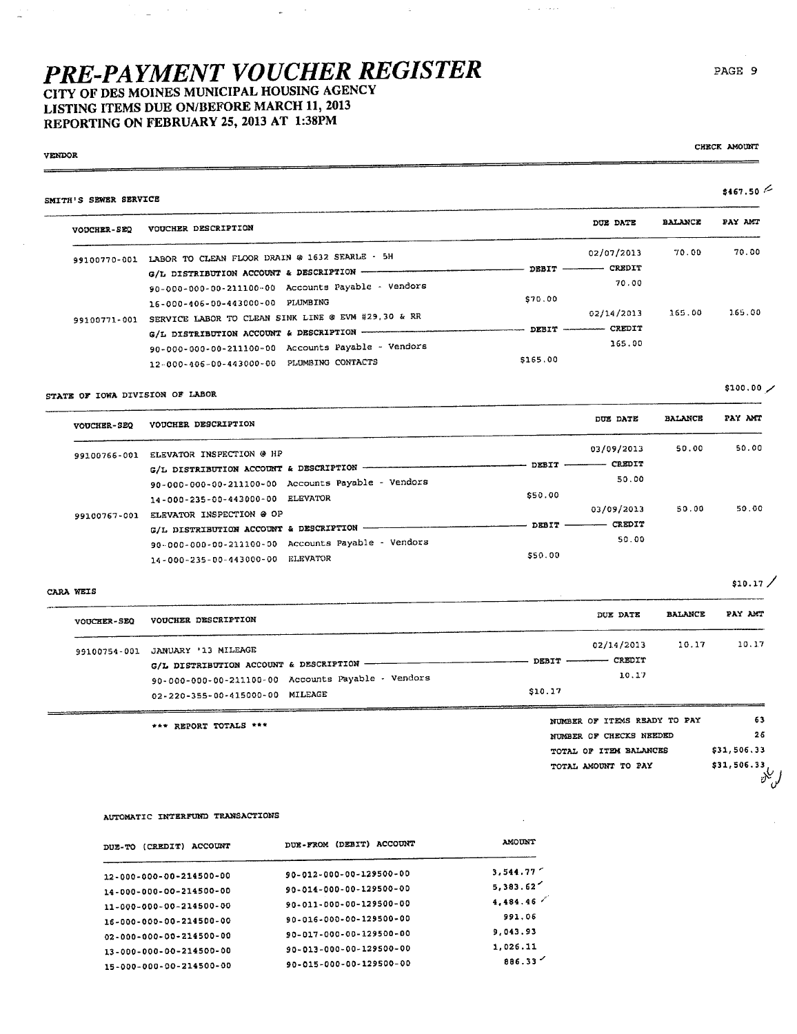CITY OF DES MOINES MUNICIPAL HOUSING AGENCY LISTING ITEMS DUE ON/BEFORE MARCH 11, 2013 REPORTING ON FEBRUARY 25, 2013 AT 1:38PM

 $\sim 10^{11}$  m  $^{-1}$ 

#### **VENDOR** SMITH'S SEWER SERVICE **BALANCE** DUE DATE VOUCHER-SEQ VOUCHER DESCRIPTION 02/07/2013  $70.00$ 99100770-001 LABOR TO CLEAN FLOOR DRAIN @ 1632 SEARLE - 5H  $-$  DEBIT  $-$  CREDIT G/L DISTRIBUTION ACCOUNT & DESCRIPTION - $70.00$ 90-000-000-00-211100-00 Accounts Payable - Vendors \$70.00 16-000-406-00-443000-00 PLUMBING 165.00 02/14/2013 1.65.00 99100771-001 SERVICE LABOR TO CLEAN SINK LINE @ EVM #29,30 & RR

**Carl Constant** 

 $-$  DEBIT  $-$ 

|                                           | 90-000-000-00-211100-00 Accounts Payable - Vendors |         |  |
|-------------------------------------------|----------------------------------------------------|---------|--|
| 12-000-406-00-443000-00 PLUMBING CONTACTS |                                                    | 5165.00 |  |
|                                           |                                                    |         |  |
| STATE OF IOWA DIVISION OF LABOR           |                                                    |         |  |

#### **BALANCE** PAY AMT DUE DATE VOUCHER-SEQ VOUCHER DESCRIPTION 50.00 50.00 03/09/2013 99100766-001 ELEVATOR INSPECTION @ HP  $-$  CREDIT  $-$  DEBIT  $-$ G/L DISTRIBUTION ACCOUNT & DESCRIPTION -50.00 90-000-000-00-211100-00 Accounts Payable - Vendors \$50.00 14-000-235-00-443000-00 ELEVATOR 50.00 50.00 03/09/2013 99100767-001 ELEVATOR INSPECTION @ OP - CREDIT  $-$  DEBIT  $-$ G/L DISTRIBUTION ACCOUNT & DESCRIPTION -50.00 90-000-000-00-211100-00 Accounts Payable - Vendors \$50.00 14-000-235-00-443000-00 ELEVATOR

CARA WEIS

| <b>VOUCHER-SEQ</b> | VOUCHER DESCRIPTION                                                                                                                                    | DUE DATE                                                | <b>BALANCE</b> | PAY AMT |
|--------------------|--------------------------------------------------------------------------------------------------------------------------------------------------------|---------------------------------------------------------|----------------|---------|
| 99100754-001       | JANUARY '13 MILEAGE<br>G/L DISTRIBUTION ACCOUNT & DESCRIPTION<br>90-000-000-00-211100-00 Accounts Payable - Vendors<br>02-220-355-00-415000-00 MILEAGE | 02/14/2013<br>DEBIT -------- CREDIT<br>10.17<br>\$10.17 | 10.17          | 10.17   |
|                    |                                                                                                                                                        | NUMBER OF ITEMS READY TO PAY                            |                | 63      |

\*\*\* REPORT TOTALS \*\*\*

NUMBER OF CHECKS NEEDED TOTAL OF ITEM BALANCES TOTAL AMOUNT TO PAY

- CREDIT

365.00

#### \$31,506.33 \$31,506.33  $v^{\vee}$

 $26$ 

 $$10.17/$ 

#### AUTOMATIC INTERFUND TRANSACTIONS

| <b>ACCOUNT</b><br>DUE-TO (CREDIT) | DUE-FROM (DEBIT) ACCOUNT | <b>AMOUNT</b> |
|-----------------------------------|--------------------------|---------------|
| 12-000-000-00-214500-00           | 90-012-000-00-129500-00  | 3,544.77      |
| 14-000-000-00-214500-00           | 90-014-000-00-129500-00  | 5,383.62      |
| 11-000-000-00-214500-00           | 90-011-000-00-129500-00  | 4,484.46      |
| 16-000-000-00-214500-00           | 90-016-000-00-129500-00  | 991.06        |
| 02-000-000-00-214500-00           | 90-017-000-00-129500-00  | 9,043.93      |
| 13-000-000-00-214500-00           | 90-013-000-00-129500-00  | 1,026.11      |
| 15-000-000-00-214500-00           | 90-015-000-00-129500-00  | 886.33        |

CHECK AMOUNT

 $$467.50 \le$ 

PAY AMT

70.00

 $$100.00$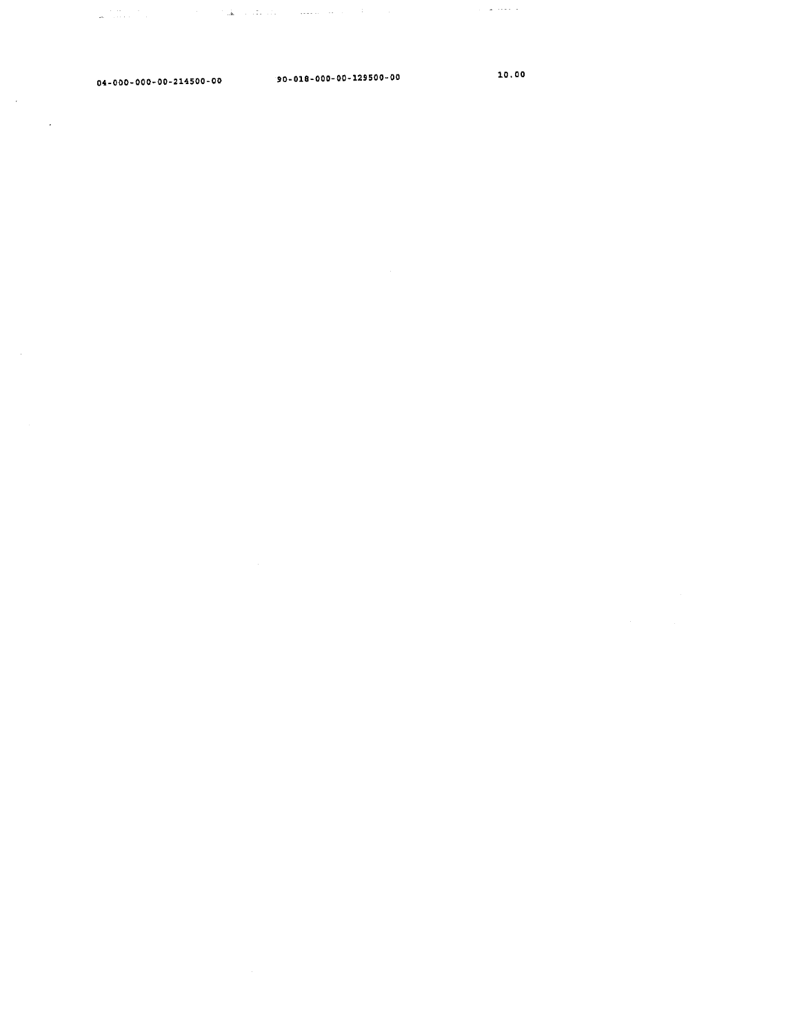$\Delta$  the state of the state of  $\Delta$  , and  $\Delta$  , and  $\Delta$  , and  $\Delta$  , and  $\Delta$  $\mathcal{L}_{\text{max}}$  and  $\mathcal{L}_{\text{max}}$ 

 $\sim 10$ 

 $\sim 10$ 

 $\sim$   $\sim$ 

04- 000- 000- 00-214500 - 00 90- 018-000- 00-129500-00 10.00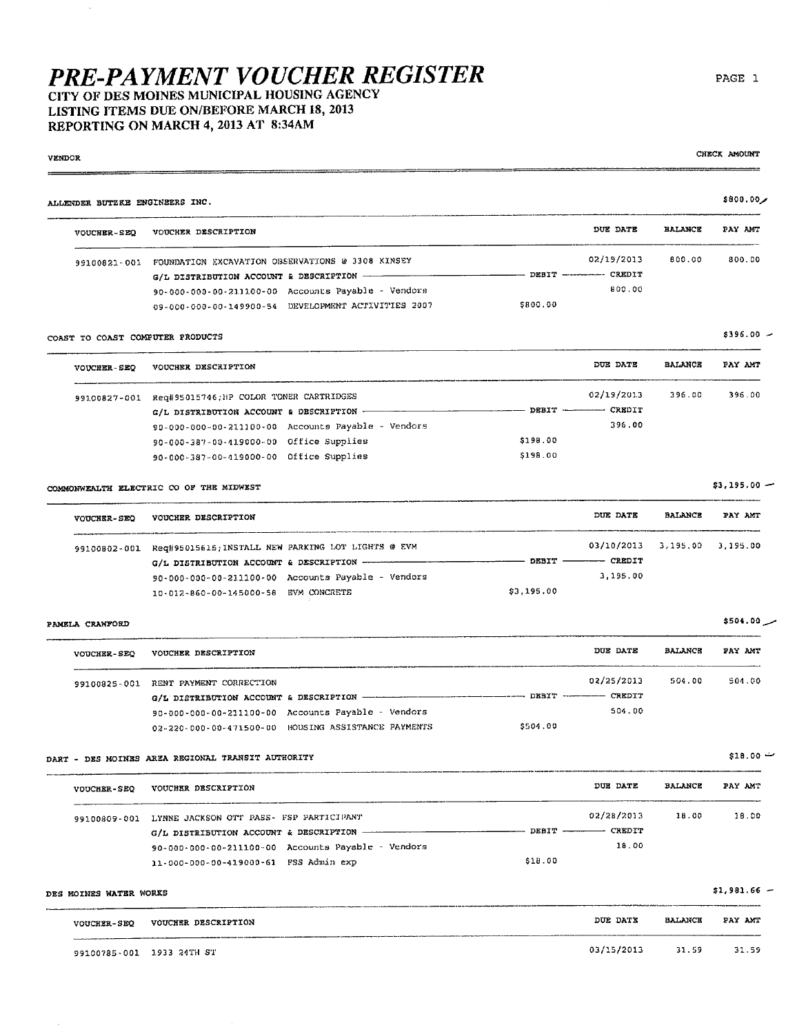### CITY OF DES MOINES MUNICIPAL HOUSING AGENCY LISTING ITEMS DUE ON/BEFORE MARCH 18, 2013 REPORTING ON MARCH 4, 2013 AT 8:34AM

#### مر60,00\$\$ ALLENDER BUTZKE ENGINEERS INC. DUE DATE **BALANCE** PAY ANT VOUCHER-SEO VOUCHER DESCRIPTION 02/19/2013 800.00 800.00 99100821-001 FOUNDATION EXCAVATION OBSERVATIONS @ 3308 KINSEY - DEBIT -------- CREDIT  $G/L$  DISTRIBUTION ACCOUNT & DESCRIPTION -90-000-000-00-211100-00 Accounts Payable - Vendors 800,00 09-000-000-00-149900-54 DEVELOPMENT ACTIVITIES 2007 \$800.00 COAST TO COAST COMPUTER PRODUCTS

#### DUE DATE **BALANCE** PAY AMT VOUCHER-SEQ VOUCHER DESCRIPTION 396.00 396.00 99100827-001 Req#95015746; HP COLOR TONER CARTRIDGES 02/19/2013  $G/L$  DISTRIBUTION ACCOUNT & DESCRIPTION - $---$  DEBIT  $---$  CREDIT 396.00 90-000-000-00-211100-00 Accounts Payable - Vendors 90-000-387-00-419000-00 Office Supplies \$198.00 90-000-387-00-419000-00 Office Supplies \$198.00

#### COMMONWEALTH ELECTRIC CO OF THE MIDWEST

| <b>VOUCHER-SEO</b> | VOUCHER DESCRIPTION                                             | DUE DATE               | <b>BALANCE</b>               | PAY AMT |
|--------------------|-----------------------------------------------------------------|------------------------|------------------------------|---------|
|                    | 99100802-001 Req#95015615; INSTALL NEW PARKING LOT LIGHTS @ EVM |                        | 03/10/2013 3.195.00 3.195.00 |         |
|                    |                                                                 | DEBIT --------- CREDIT |                              |         |
|                    | 90-000-000-00-211100-00 Accounts Payable - Vendors              | 3.195.00               |                              |         |
|                    | 10-012-860-00-145000-58 EVM CONCRETE                            | \$3,195,00             |                              |         |

#### PAMELA CRAWFORD

VENDOR

| <b>VOUCHER-SEQ</b> | VOUCHER DESCRIPTION                                             | DUE DATE                 | <b>BALANCE</b> | PAY AMT |
|--------------------|-----------------------------------------------------------------|--------------------------|----------------|---------|
|                    | 99100825-001 RENT PAYMENT CORRECTION                            | 02/25/2013               | 501.00         | 504.00  |
|                    |                                                                 | DESIT ----------- CREDIT |                |         |
|                    | 90-000-000-00-211100-00 Accounts Payable - Vendors              | 504.00                   |                |         |
|                    | \$504.00<br>02-220-000-00-471500-00 HOUSING ASSISTANCE PAYMENTS |                          |                |         |

DART - DES MOINES AREA REGIONAL TRANSIT AUTHORITY

| <b>VOUCHER-SEQ</b> | VOUCHER DESCRIPTION                                    |         | DUE DATE                  | <b>BALANCE</b> | PAY AMT |
|--------------------|--------------------------------------------------------|---------|---------------------------|----------------|---------|
| 99100809-001       | LYNNE JACKSON OTT PASS- FSP PARTICIPANT                |         | 02/28/2013                | 18.00          | 18.00   |
|                    | G/L DISTRIBUTION ACCOUNT & DESCRIPTION --------------- |         | DEBIT ------------ CREDIT |                |         |
|                    | 90-000-000-00-211100-00 Accounts Payable - Vendors     |         | 18.00                     |                |         |
|                    | 11-000-000-00-419000-61 FSS Admin exp                  | \$18.00 |                           |                |         |

| DES MOINES WATER WORKS |                           |                  |                | \$1,981.66 |
|------------------------|---------------------------|------------------|----------------|------------|
| <b>VOUCHER-SEQ</b>     | VOUCHER DESCRIPTION       | DUE DATE         | <b>BALANCE</b> | PAY AMT    |
|                        | 99100785-001 1933 24TH ST | 03/15/2013 31.59 |                | 31.59      |

CHECK AMOUNT

PAGE 1

 $$396.00 -$ 

 $$3.195.00 -$ 

 $$18.00 -$ 

 $$504.00$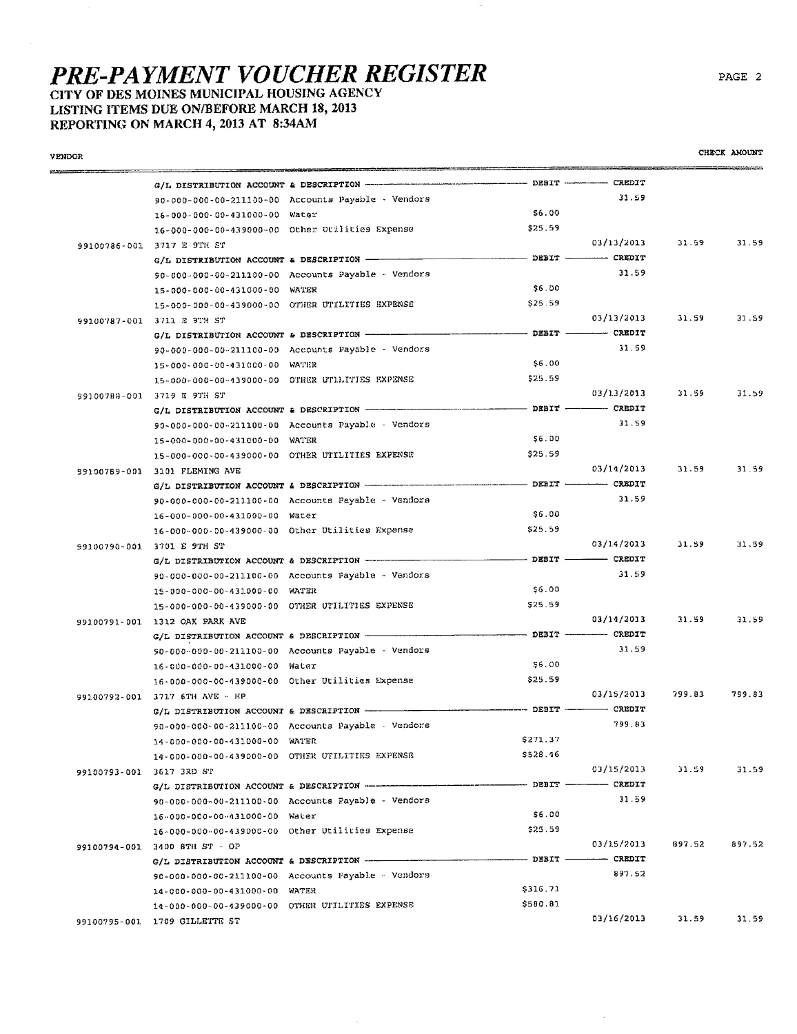### CITY OF DES MOINES MUNICIPAL HOUSING AGENCY LISTING ITEMS DUE ON/BEFORE MARCH 18, 2013 REPORTING ON MARCH 4, 2013 AT 8:34AM

| <b>VENDOR</b>            |                                          |                                                                               |                                                                                                                                                                                                                                                                                                                                                                                                                                                                                                                                              |            |        | CHECK AMOUNT |
|--------------------------|------------------------------------------|-------------------------------------------------------------------------------|----------------------------------------------------------------------------------------------------------------------------------------------------------------------------------------------------------------------------------------------------------------------------------------------------------------------------------------------------------------------------------------------------------------------------------------------------------------------------------------------------------------------------------------------|------------|--------|--------------|
|                          |                                          |                                                                               |                                                                                                                                                                                                                                                                                                                                                                                                                                                                                                                                              |            |        |              |
|                          |                                          | 90-000-000-00-211100-00 Accounts Payable - Vendors                            |                                                                                                                                                                                                                                                                                                                                                                                                                                                                                                                                              | 31.59      |        |              |
|                          | 16-000-000-00-431000-00 Water            |                                                                               | \$6.00                                                                                                                                                                                                                                                                                                                                                                                                                                                                                                                                       |            |        |              |
|                          |                                          | 16-000-000-00-439000-00 Other Otilities Expense                               | \$25.59                                                                                                                                                                                                                                                                                                                                                                                                                                                                                                                                      |            |        |              |
|                          | 99100786-001 3717 E 9TH ST               |                                                                               |                                                                                                                                                                                                                                                                                                                                                                                                                                                                                                                                              | 03/13/2013 | 31.59  | 31.59        |
|                          | G/L DISTRIBUTION ACCOUNT & DESCRIPTION - |                                                                               | --------------- DEBIT ----------- CREDIT                                                                                                                                                                                                                                                                                                                                                                                                                                                                                                     |            |        |              |
|                          |                                          | 90-000-000-00-211100-00 Accounts Payable - Vendors                            |                                                                                                                                                                                                                                                                                                                                                                                                                                                                                                                                              | 31.59      |        |              |
|                          | 15-000-000-00-431000-00 WATER            |                                                                               | 56.00                                                                                                                                                                                                                                                                                                                                                                                                                                                                                                                                        |            |        |              |
|                          |                                          | 15-000-000-00-439000-00 OTHER UTILITIES EXPENSE                               | \$25.59                                                                                                                                                                                                                                                                                                                                                                                                                                                                                                                                      |            |        |              |
|                          | 99100787-001 3711 E 9TH ST               |                                                                               |                                                                                                                                                                                                                                                                                                                                                                                                                                                                                                                                              | 03/13/2013 | 31.59  | 31.59        |
|                          |                                          | G/L DISTRIBUTION ACCOUNT & DESCRIPTION -----------                            |                                                                                                                                                                                                                                                                                                                                                                                                                                                                                                                                              |            |        |              |
|                          |                                          | 90-000-000-00-211100-00 Accounts Payable - Vendors                            |                                                                                                                                                                                                                                                                                                                                                                                                                                                                                                                                              | 31.59      |        |              |
|                          | 15-000-000-00-431000-00 WATER            |                                                                               | \$6.00                                                                                                                                                                                                                                                                                                                                                                                                                                                                                                                                       |            |        |              |
|                          |                                          | 15-000-000-00-439000-00 OTHER UTLLITIES EXPENSE                               | \$25.59                                                                                                                                                                                                                                                                                                                                                                                                                                                                                                                                      |            |        |              |
|                          | 99100788-001 3719 E 9TH ST               |                                                                               |                                                                                                                                                                                                                                                                                                                                                                                                                                                                                                                                              | 03/13/2013 | 31.59  | 31.59        |
|                          |                                          | G/L DISTRIBUTION ACCOUNT & DESCRIPTION <b>CONFIGENT ACCOUNTED SEPT</b> CREDIT |                                                                                                                                                                                                                                                                                                                                                                                                                                                                                                                                              |            |        |              |
|                          |                                          | 90-000-000-00-211100-00 Accounts Payable - Vendors                            |                                                                                                                                                                                                                                                                                                                                                                                                                                                                                                                                              | 31.59      |        |              |
|                          | 15-000-000-00-431000-00 WATER            |                                                                               | <b>S6.DO</b>                                                                                                                                                                                                                                                                                                                                                                                                                                                                                                                                 |            |        |              |
|                          |                                          | 15-000-000-00-439000-00 OTHER UTILITIES EXPENSE                               | \$25.59                                                                                                                                                                                                                                                                                                                                                                                                                                                                                                                                      |            |        |              |
|                          | 99100789-001 3101 FLEMING AVE            |                                                                               |                                                                                                                                                                                                                                                                                                                                                                                                                                                                                                                                              | 03/14/2013 | 31.59  | 31.59        |
|                          |                                          |                                                                               |                                                                                                                                                                                                                                                                                                                                                                                                                                                                                                                                              |            |        |              |
|                          |                                          | 90-000-000-00-211100-00 Accounts Payable - Vendors                            |                                                                                                                                                                                                                                                                                                                                                                                                                                                                                                                                              | 31.59      |        |              |
|                          | 16-000-000-00-431000-00 Water            |                                                                               | \$6.00                                                                                                                                                                                                                                                                                                                                                                                                                                                                                                                                       |            |        |              |
|                          |                                          | 16-000-000-00-439000-00 Other Utilities Expense                               | \$25.59                                                                                                                                                                                                                                                                                                                                                                                                                                                                                                                                      |            |        |              |
|                          |                                          |                                                                               |                                                                                                                                                                                                                                                                                                                                                                                                                                                                                                                                              | 03/14/2013 | 31.59  | 31.59        |
|                          | 99100790-001 3701 E 9TH ST               |                                                                               |                                                                                                                                                                                                                                                                                                                                                                                                                                                                                                                                              |            |        |              |
|                          |                                          | 90-000-000-00-211100-00 Accounts Payable - Vendors                            |                                                                                                                                                                                                                                                                                                                                                                                                                                                                                                                                              | 31.59      |        |              |
|                          |                                          |                                                                               | SG.00                                                                                                                                                                                                                                                                                                                                                                                                                                                                                                                                        |            |        |              |
|                          | 15-000-000-00-431000-00 WATER            |                                                                               | \$25.59                                                                                                                                                                                                                                                                                                                                                                                                                                                                                                                                      |            |        |              |
|                          |                                          | 15-000-000-00-439000-00 OTHER UTILITIES EXPENSE                               |                                                                                                                                                                                                                                                                                                                                                                                                                                                                                                                                              | 03/14/2013 | 31.59  | 31.59        |
|                          | 99100791-001 1312 OAK PARK AVE           | G/L DISTRIBUTION ACCOUNT & DESCRIPTION - DEBIT DEBIT - CREDIT                 |                                                                                                                                                                                                                                                                                                                                                                                                                                                                                                                                              |            |        |              |
|                          |                                          |                                                                               |                                                                                                                                                                                                                                                                                                                                                                                                                                                                                                                                              | 31.59      |        |              |
|                          |                                          | 90-000-000-00-211100-00 Accounts Payable - Vendors                            | \$6.00                                                                                                                                                                                                                                                                                                                                                                                                                                                                                                                                       |            |        |              |
|                          | 16-000-000-00-431000-00 Water            |                                                                               |                                                                                                                                                                                                                                                                                                                                                                                                                                                                                                                                              |            |        |              |
|                          |                                          | 16-000-000-00-439000-00 Other Utilities Expense                               | \$25.59                                                                                                                                                                                                                                                                                                                                                                                                                                                                                                                                      | 03/15/2013 | 799.83 | 799.83       |
|                          | 99100792-001 3717 6TH AVE - HP           |                                                                               | ------------------ DEBIT ---------- CREDIT                                                                                                                                                                                                                                                                                                                                                                                                                                                                                                   |            |        |              |
|                          |                                          | G/L DISTRIBUTION ACCOUNT & DESCRIPTION --------------                         |                                                                                                                                                                                                                                                                                                                                                                                                                                                                                                                                              | 799.83     |        |              |
|                          |                                          | 90-000-000-00-211100-00 Accounts Payable - Vendors                            |                                                                                                                                                                                                                                                                                                                                                                                                                                                                                                                                              |            |        |              |
|                          | 14-000-000-00-431000-00 WATER            |                                                                               | \$271.37                                                                                                                                                                                                                                                                                                                                                                                                                                                                                                                                     |            |        |              |
|                          |                                          | 14-000-000-00-439000-00 OTHER UTILITIES EXPENSE                               | \$528.46                                                                                                                                                                                                                                                                                                                                                                                                                                                                                                                                     |            |        |              |
| 99100793-001 3617 3RD ST |                                          |                                                                               |                                                                                                                                                                                                                                                                                                                                                                                                                                                                                                                                              | 03/15/2013 | 31.59  | 31.59        |
|                          |                                          | G/L DISTRIBUTION ACCOUNT & DESCRIPTION ---------------                        | ------------------ DEBIT ----------- CREDIT                                                                                                                                                                                                                                                                                                                                                                                                                                                                                                  |            |        |              |
|                          |                                          | 90-000-000-00-211100-00 Accounts Payable - Vendors                            |                                                                                                                                                                                                                                                                                                                                                                                                                                                                                                                                              | 31.59      |        |              |
|                          | 16-000-000-00-431000-00 Water            |                                                                               | \$6.00                                                                                                                                                                                                                                                                                                                                                                                                                                                                                                                                       |            |        |              |
|                          |                                          | 16-000-000-00-439000-00 Other Utilities Expense                               | \$25.59                                                                                                                                                                                                                                                                                                                                                                                                                                                                                                                                      |            |        |              |
|                          | 99100794-001 3400 8TH ST - OP            |                                                                               |                                                                                                                                                                                                                                                                                                                                                                                                                                                                                                                                              | 03/15/2013 | 897.52 | 897.52       |
|                          |                                          | G/L DISTRIBUTION ACCOUNT & DESCRIPTION                                        | $\begin{minipage}{0.9\linewidth} \begin{minipage}{0.9\linewidth} \textbf{0.0} \end{minipage} \begin{minipage}{0.9\linewidth} \begin{minipage}{0.9\linewidth} \begin{minipage}{0.9\linewidth} \begin{minipage}{0.9\linewidth} \end{minipage} \end{minipage} \begin{minipage}{0.9\linewidth} \begin{minipage}{0.9\linewidth} \begin{minipage}{0.9\linewidth} \begin{minipage}{0.9\linewidth} \end{minipage} \end{minipage} \begin{minipage}{0.9\linewidth} \begin{minipage}{0.9\linewidth} \begin{minipage}{0.9\linewidth} \begin{minipage}{0$ |            |        |              |
|                          |                                          | 90-000-000-00-211100-00 Accounts Payable - Vendors                            |                                                                                                                                                                                                                                                                                                                                                                                                                                                                                                                                              | 897.52     |        |              |
|                          | 14-000-000-00-431000-00 WATER            |                                                                               | \$316.71                                                                                                                                                                                                                                                                                                                                                                                                                                                                                                                                     |            |        |              |
|                          |                                          | 14-000-000-00-439000-00 OTHER UTILITIES EXPENSE                               | \$580.81                                                                                                                                                                                                                                                                                                                                                                                                                                                                                                                                     |            |        |              |
|                          | 99100795-001 1709 GILLETTE ST            |                                                                               |                                                                                                                                                                                                                                                                                                                                                                                                                                                                                                                                              | 03/16/2013 | 31.59  | 31.59        |

 $\hat{\vec{z}}$ 

PAGE 2

CHECK AMOUNT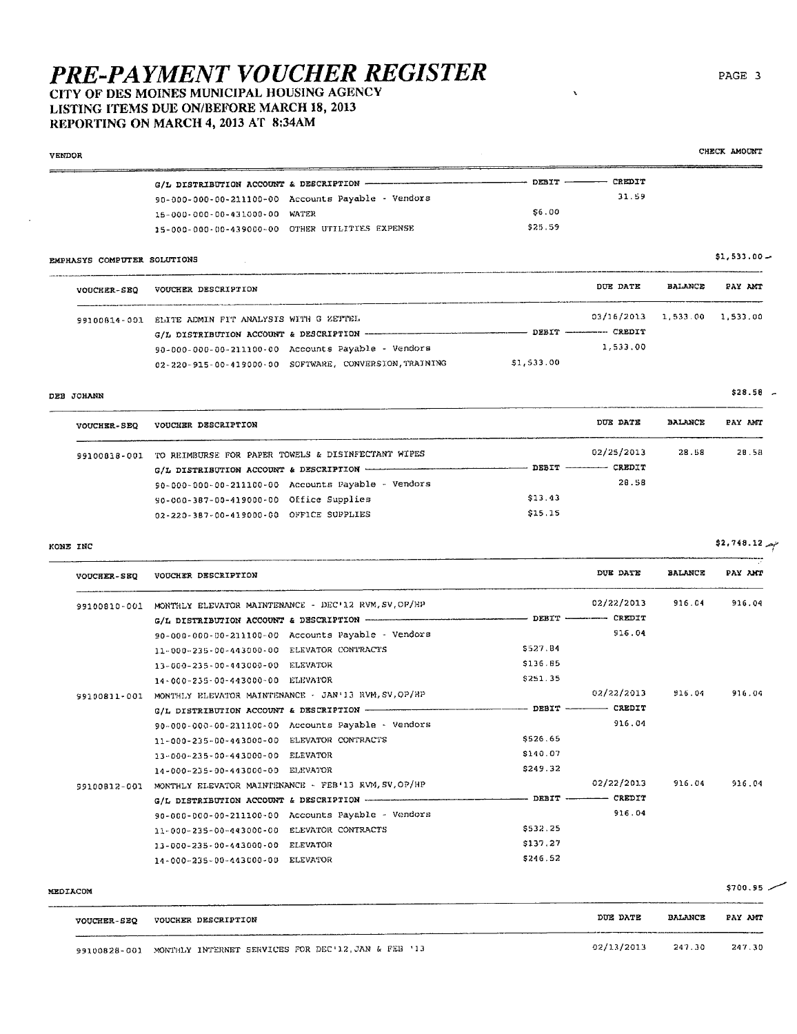### CITY OF DES MOINES MUNICIPAL HOUSING AGENCY LISTING ITEMS DUE ON/BEFORE MARCH 18, 2013 REPORTING ON MARCH 4, 2013 AT 8:34AM

CHECK AMOUNT **VENDOR** G/L DISTRIBUTION ACCOUNT & DESCRIPTION -- DEBIT ------ CREDIT 90-000-000-00-211100-00 Accounts Payable - Vendors 31.59 \$6.00 15-000-000-00-431000-00 WATER \$25.59 15-000-000-00-439000-00 OTHER UTILITIES EXPENSE

#### EMPHASYS COMPUTER SOLUTIONS

| VOUCHER-SEO | VOUCHER DESCRIPTION                                 |                                                        |                         | DUE DATE                     | BALANCE | PAY AMT |
|-------------|-----------------------------------------------------|--------------------------------------------------------|-------------------------|------------------------------|---------|---------|
|             | 99100814-001 ELITE ADMIN FIT ANALYSIS WITH G ZETTEL |                                                        |                         | 03/16/2013 1,533.00 1,533.00 |         |         |
|             |                                                     |                                                        | DEBIT ---------- CREDIT |                              |         |         |
|             |                                                     | 90-000-000-00-211100-00 Accounts Payable - Vendors     |                         | 1.533.00                     |         |         |
|             |                                                     | 02-220-915-00-419000-00 SOFTWARE, CONVERSION, TRAINING | \$1,533.00              |                              |         |         |

#### DEB JOHANN

| <b>VOUCHER-SEQ</b> | VOUCHER DESCRIPTION                                |         | DUE DATE                  | <b>BALANCE</b> | PAY ANT |
|--------------------|----------------------------------------------------|---------|---------------------------|----------------|---------|
| 99100838-001       | TO REIMBURSE FOR PAPER TOWELS & DISINFECTANT WIPES |         | 02/25/2013                | 28.58          | 28.58   |
|                    |                                                    |         | DEBIT ------------ CREDIT |                |         |
|                    | 90-000-000-00-211100-00 Accounts Payable - Vendors |         | 28.58                     |                |         |
|                    | 90-000-387-00-419000-00 Office Supplies            | \$13.43 |                           |                |         |
|                    | 02-220-387-00-419000-00 OFFICE SUPPLIES            | \$15.15 |                           |                |         |

#### KONE INC

| <b>VOUCHER-SEQ</b> | VOUCHER DESCRIPTION                                                     |          | DUE DATE       | <b>BALANCE</b> | PAY AMT |
|--------------------|-------------------------------------------------------------------------|----------|----------------|----------------|---------|
| 99100810-001       | MONTHLY ELEVATOR MAINTENANCE - DEC'L2 RVM, SV, OP/HP                    |          | 02/22/2013     | 916.04         | 916.04  |
|                    |                                                                         | DEBIT -  | ------- CREDIT |                |         |
|                    | 90-000-000-00-211100-00 Accounts Payable - Vendors                      |          | 916.04         |                |         |
|                    | 11-000-235-00-443000-00 ELEVATOR CONTRACTS                              | \$527.84 |                |                |         |
|                    | 13-000-235-00-443000-00 ELEVATOR                                        | \$136.85 |                |                |         |
|                    | 14-000-235-00-443000-00 ELEVATOR                                        | \$251.35 |                |                |         |
| 99100811-001       | MONTHLY ELEVATOR MAINTENANCE - JAN'13 RVM, SV, OP/HP                    |          | 02/22/2013     | 916.04         | 916.04  |
|                    | $G/L$ DISTRIBUTION ACCOUNT & DESCRIPTION - THE CONSTRAINMENT OF DEBIT - |          | ------ CREDIT  |                |         |
|                    | 90-000-000-00-211100-00 Accounts Payable - Vendors                      |          | 916.04         |                |         |
|                    | 11-000-235-00-443000-00 ELEVATOR CONTRACTS                              | \$526.65 |                |                |         |
|                    | 13-000-235-00-443000-00 ELEVATOR                                        | \$140.07 |                |                |         |
|                    | 14-000-235-00-443000-00 ELEVATOR                                        | \$249.32 |                |                |         |
| 99100812-001       | MONTHLY ELEVATOR MAINTENANCE - FEB'13 RVM, SV, OP/HP                    |          | 02/22/2013     | 916.04         | 916.04  |
|                    |                                                                         |          |                |                |         |
|                    | 90-000-000-00-211100-00 Accounts Payable - Vendors                      |          | 916.04         |                |         |
|                    | 11-000-235-00-443000-00 ELEVATOR CONTRACTS                              | \$532.25 |                |                |         |
|                    | 13-000-235-00-443000-00 ELEVATOR                                        | \$137.27 |                |                |         |
|                    | 14-000-235-00-443000-00<br>ELEVATOR                                     | \$246.52 |                |                |         |
|                    |                                                                         |          |                |                |         |

#### MEDIACOM

| \$700.95 |  |  |
|----------|--|--|
|          |  |  |

| <b>VOUCHER-SEQ</b> | VOUCHER DESCRIPTION                                              | DUE DATE   | <b>BALANCE</b> | PAY AMT |
|--------------------|------------------------------------------------------------------|------------|----------------|---------|
|                    |                                                                  |            |                |         |
|                    | 99100828-001 MONTHLY INTERNET SERVICES FOR DEC'12, JAN & FEB '13 | 02/13/2013 | 247.30         | 247.30  |

#### PAGE 3

 $$28.58$   $-$ 

 $$2,748.12$ 

 $$1,533.00 -$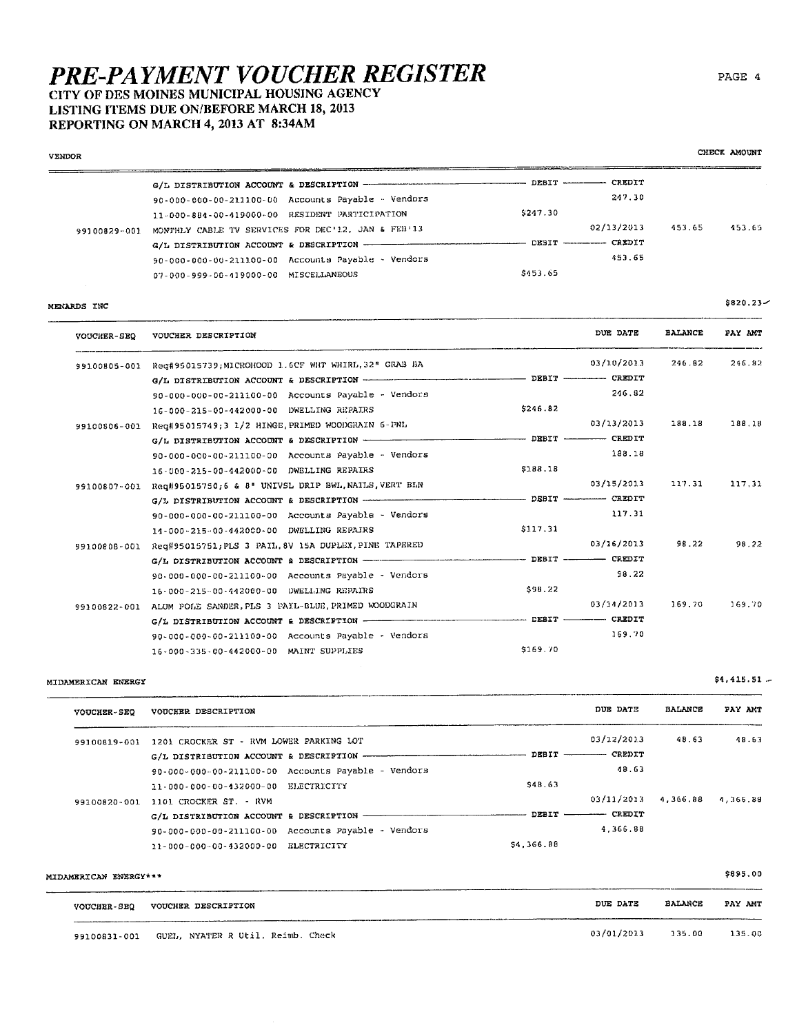## CITY OF DES MOINES MUNICIPAL HOUSING AGENCY LISTING ITEMS DUE ON/BEFORE MARCH 18, 2013

REPORTING ON MARCH 4, 2013 AT 8:34AM

| <b>VENDOR</b> |                                                                           |                                                  |            |                | CHECK AMOUNT |
|---------------|---------------------------------------------------------------------------|--------------------------------------------------|------------|----------------|--------------|
|               |                                                                           |                                                  |            |                |              |
|               | 90-000-000-00-211100-00 Accounts Payable - Vendors                        |                                                  | 247.30     |                |              |
|               | 11-000-884-00-419000-00 RESIDENT PARTICIPATION                            | \$247.30                                         |            |                |              |
|               | 99100829-001 MONTHLY CABLE TV SERVICES FOR DEC'12, JAN & FEB'13           |                                                  | 02/13/2013 | 453.65         | 453.65       |
|               |                                                                           |                                                  |            |                |              |
|               | 90-000-000-00-211100-00 Accounts Payable - Vendors                        |                                                  | 453.65     |                |              |
|               | 07-000-999-00-419000-00 MISCELLANEOUS                                     | \$453.65                                         |            |                |              |
| MENARDS INC   |                                                                           |                                                  |            |                | $$820.23-$   |
| VOUCHER-SEQ   | VOUCHER DESCRIPTION                                                       |                                                  | DUE DATE   | <b>BALANCE</b> | PAY ANT      |
|               | 99100805-001 Reg#95015739; MICROHOOD 1.6CF WHT WHIRL, 32" GRAB BA         |                                                  | 03/10/2013 | 246.82         | 246.82       |
|               |                                                                           |                                                  |            |                |              |
|               | 90-000-000-00-211100-00 Accounts Payable - Vendors                        |                                                  | 246.82     |                |              |
|               | 16-000-215-00-442000-00 DWELLING REPAIRS                                  | \$246.82                                         |            |                |              |
|               | 99100806-001 Req#95015749;3 1/2 HINGE, PRIMED WOODGRAIN 6-PNL             |                                                  | 03/13/2013 | 188.18         | 188.18       |
|               | G/L DISTRIBUTION ACCOUNT & DESCRIPTION <b>ACCOUNTER ACCOUNTANT CREDIT</b> |                                                  |            |                |              |
|               | 90-000-000-00-211100-00 Accounts Payable - Vendors                        |                                                  | 188.18     |                |              |
|               | 16-000-215-00-442000-00 DWELLING REPAIRS                                  | \$188.18                                         |            |                |              |
|               | 99100807-001 Req#95015750;6 & 8" UNIVSL DRIP BWL, NATLS, VERT BLN         |                                                  | 03/15/2013 | 117.31         | 117.31       |
|               |                                                                           | --------------------- DEBIT ------------- CREDIT |            |                |              |
|               | 90-000-000-00-211100-00 Accounts Payable - Vendors                        |                                                  | 117.31     |                |              |
|               | 14-000-215-00-442000-00 DWELLING REPAIRS                                  | \$117.31                                         |            |                |              |
|               | 99100808-001 Req#95015751; PLS 3 PAIL, 8V 15A DUPLEX, PINE TAPERED        |                                                  | 03/16/2013 | 98.22          | 98.22        |
|               |                                                                           |                                                  |            |                |              |
|               | 90-000-000-00-211100-00 Accounts Payable - Vendors                        |                                                  | 98.22      |                |              |
|               | 16-000-215-00-442000-00 DWELLLING REPAIRS                                 | \$98.22                                          |            |                |              |
|               | 99100822-001 ALUM POLE SANDER, PLS 3 PAIL-BLUE, PRIMED WOODGRAIN          |                                                  | 03/14/2013 | 169.70         | 169.70       |
|               |                                                                           |                                                  |            |                |              |
|               | 90-000-000-00-211100-00 Accounts Payable - Vendors                        |                                                  | 169.70     |                |              |
|               | 16-000-335-00-442000-00 MAINT SUPPLIES                                    | \$169.70                                         |            |                |              |

MIDAMERICAN ENERGY

VOUCHER-SEQ VOUCHER DESCRIPTION DUE DATE **BALANCE** PAY AMT 03/12/2013 48.63 48.63 99100819-001 1201 CROCKER ST - RVM LOWER PARKING LOT G/L DISTRIBUTION ACCOUNT & DESCRIPTION - $-$  DEBIT  $CREDTT$ 90-000-000-00-211100-00 Accounts Payable - Vendors 48.63 \$48.63 11-000-000-00-432000-00 ELECTRICITY 03/11/2013 99100820-001 1101 CROCKER ST. - RVM 4,366.88 4,366.88  $-$  DEBIT  $-$ -- CREDIT  $G/L$  DISTRIBUTION ACCOUNT & DESCRIPTION -4,366.88 90-000-000-00-211100-00 Accounts Payable - Vendors 11-000-000-00-432000-00 ELECTRICITY \$4,366.88

| MIDAMERICAN ENERGY*** |                                   |            |                | \$895.00 |
|-----------------------|-----------------------------------|------------|----------------|----------|
| <b>VOUCHER-SEQ</b>    | VOUCHER DESCRIPTION               | DUE DATE   | <b>BALANCE</b> | PAY AMT  |
| 99100831-001          | GUEL, NYATER R Util. Reimb. Check | 03/01/2013 | 135.00         | 135.00   |

CHECK AMOUNT

 $$4,415.51 -$ 

 $\frac{1}{2}$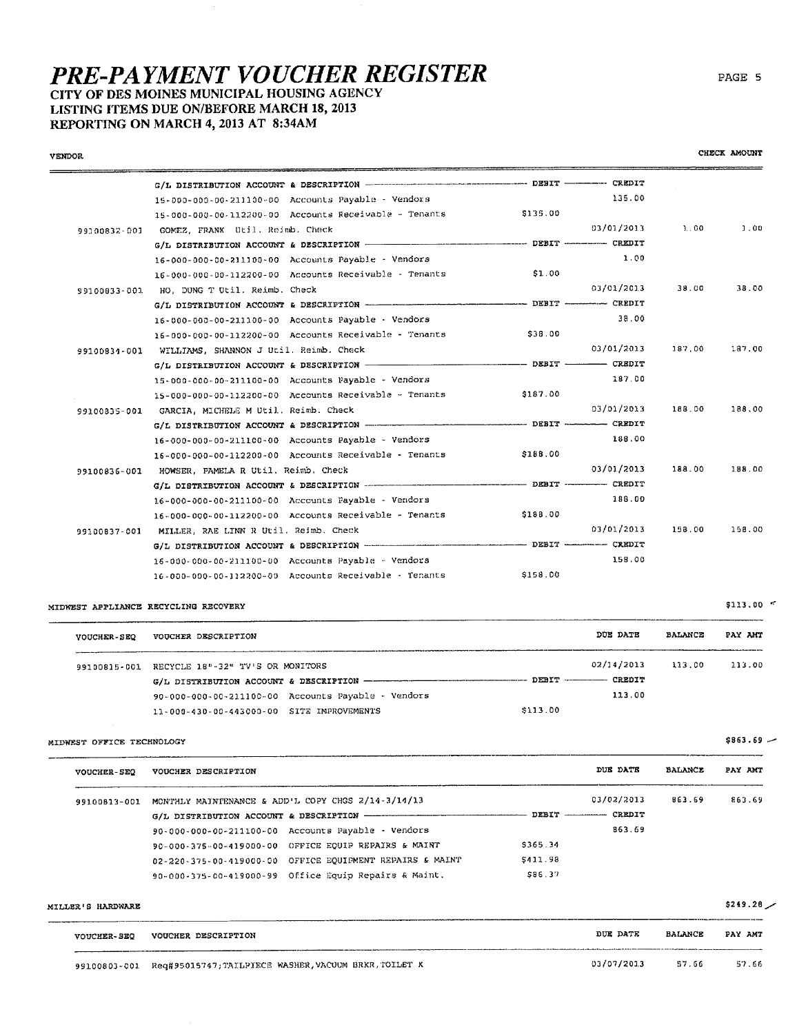### CITY OF DES MOINES MUNICIPAL HOUSING AGENCY LISTING ITEMS DUE ON/BEFORE MARCH 18, 2013 REPORTING ON MARCH 4, 2013 AT 8:34AM

**VENDOR** 

G/L DISTRIBUTION ACCOUNT & DESCRIPTION ----------------- DEBIT ----------- CREDIT 135.00 15-000-000-00-211100-00 Accounts Payable - Vendors \$135.00 15-000-000-00-112200-00 Accounts Receivable - Tenants  $1.00$ 03/03/2013  $3.00$ 99100832-001 GOMEZ, FRANK Util. Reimb. Check ----- DEBIT ---------- CREDIT G/L DISTRIBUTION ACCOUNT & DESCRIPTION -16-000-000-00-211100-00 Accounts Payable - Vendors 1.00 16-000-000-00-112200-00 Accounts Receivable - Tenants  $$1.00$ 03/01/2013 38.00 38.00 99100833-001 HO, DUNG T Util. Reimb. Check  $-$  DEBIT  $-$ --- CREDIT G/L DISTRIBUTION ACCOUNT & DESCRIPTION -38.00 16-000-000-00-211100-00 Accounts Payable - Vendors 16-000-000-00-112200-00 Accounts Receivable - Tenants \$38.00 03/01/2013 187,00 187.00 99100834-001 WILLIAMS, SHANNON J Util. Reimb. Check  $-$  CREDIT  $-$  DEBIT  $-$ G/L DISTRIBUTION ACCOUNT & DESCRIPTION -187.00 15-000-000-00-211100-00 Accounts Payable - Vendors  $$187.00$ 15-000-000-00-112200-00 Accounts Receivable - Tenants 99100835-001 GARCIA, MICHELE M Util. Reimb. Check 03/01/2013 188.00 188.00  $-$  DEBIT  $-$ CREDIT 16-000-000-00-211100-00 Accounts Payable - Vendors 188.00 16-000-000-00-112200-00 Accounts Receivable - Tenants \$188.00 03/01/2013 188.00 188.00 99100836-001 HOWSER, PAMELA R Util. Reimb. Check -- CREDIT  $-$  DEBIT  $-$ G/L DISTRIBUTION ACCOUNT & DESCRIPTION ----16-000-000-00-211100-00 Accounts Payable - Vendors 188.00  $16 - 000 - 000 - 00 - 112200 - 00$  Accounts Receivable - Tenants \$188.00 03/01/2013 158.00 158.00 99100837-001 MILLER, RAE LINN R Util. Reimb. Check DEBIT ---------- CREDIT G/L DISTRIBUTION ACCOUNT & DESCRIPTION ----------158.00 16-000-000-00-211100-00 Accounts Payable - Vendors 16-000-000-00-112200-00 Accounts Receivable - Tenants \$158.00

MIDWEST APPLIANCE RECYCLING RECOVERY

| <b>VOUCHER-SEQ</b> | VOUCHER DESCRIPTION                                | DUE DATE                  | <b>BALANCE</b> | PAY AMT |
|--------------------|----------------------------------------------------|---------------------------|----------------|---------|
|                    | 99100815-001 RECYCLE 18"-32" TV'S OR MONITORS      | 02/14/2013                | 113.00         | 113.00  |
|                    |                                                    | DEBIT ------------ CREDIT |                |         |
|                    | 90-000-000-00-211100-00 Accounts Payable - Vendors | 113.00                    |                |         |
|                    | 11-000-430-00-443000-00 SITE IMPROVEMENTS          | \$113.00                  |                |         |

MIDWEST OFFICE TECHNOLOGY

| <b>VOUCHER-SEQ</b> | VOUCHER DESCRIPTION                                      | DUE DATE             | <b>BALANCE</b> | PAY AMT |
|--------------------|----------------------------------------------------------|----------------------|----------------|---------|
| 99100813-001       | MONTHLY MAINTENANCE & ADD'L COPY CHGS 2/14-3/14/13       | 03/02/2013           | 863.69         | 863.69  |
|                    |                                                          |                      |                |         |
|                    | 90-000-000-00-211100-00 Accounts Payable - Vendors       | 863.69               |                |         |
|                    | 90-000-375-00-419000-00 OFFICE EQUIP REPAIRS & MAINT     | \$365.34             |                |         |
|                    | 02-220-375-00-419000-00 OFFICE EQUIPMENT REPAIRS & MAINT | S <sub>411</sub> .98 |                |         |
|                    | 90-000-375-00-419000-99 Office Equip Repairs & Maint.    | \$86.37              |                |         |

MILLER'S HARDWARE

| <b>VOUCHER-SEQ</b> | VOUCHER DESCRIPTION                                               | DUE DATE   | <b>BALANCE</b> | PAY AMT |
|--------------------|-------------------------------------------------------------------|------------|----------------|---------|
|                    | 99100803-001 Req#95015747;TAILPIECE WASHER, VACUUM BRKR, TOILET K | 03/07/2013 | 57.66          | 57.66   |

 $$113.00$   $\sim$ 

PAGE 5

CHECK AMOUNT

 $SRA3.69 -$ 

 $$249.28$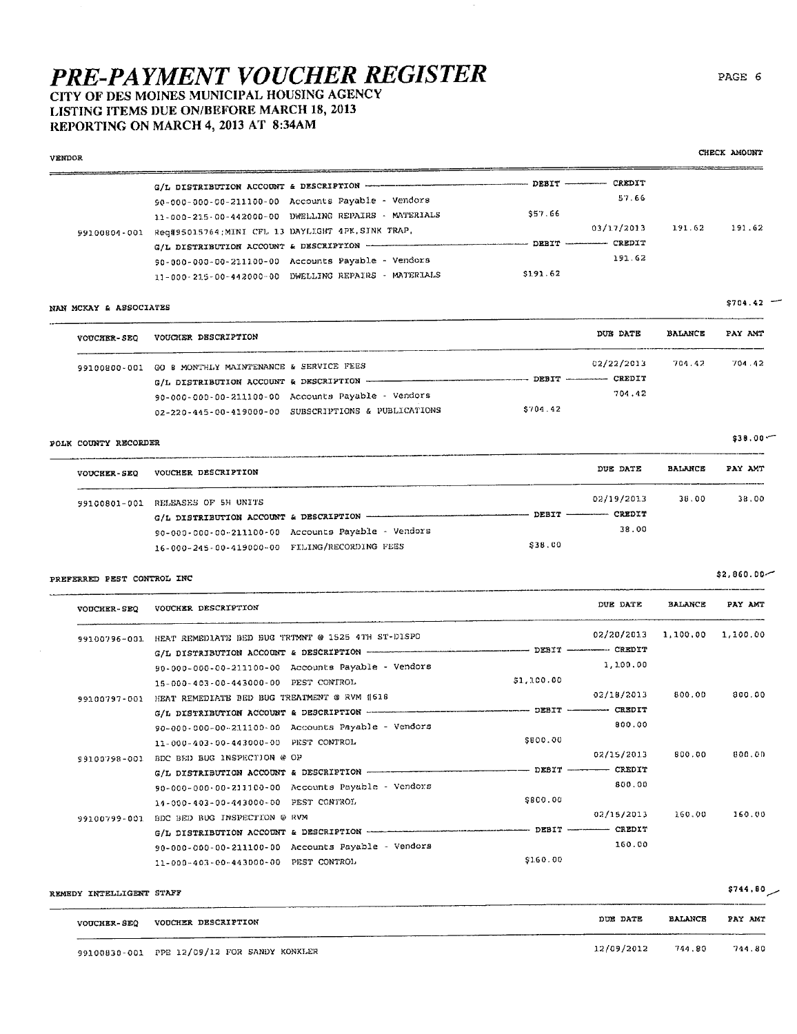## LISTING ITEMS DUE ON/BEFORE MARCH 18, 2013 REPORTING ON MARCH 4, 2013 AT 8:34AM

| <b>VENDOR</b>              |                                                                                          |                                          |                     |                | CHECK AMOUNT |
|----------------------------|------------------------------------------------------------------------------------------|------------------------------------------|---------------------|----------------|--------------|
|                            | G/L DISTRIBUTION ACCOUNT & DESCRIPTION --------------                                    | $DEBIT$ $CREDIT$                         |                     |                |              |
|                            | 90-000-000-00-211100-00 Accounts Payable - Vendors                                       |                                          | 57.66               |                |              |
|                            | 11-000-215-00-442000-00 DWELLING REPAIRS - MATERIALS                                     | \$57.66                                  |                     |                |              |
|                            | 99100804-001 Req#95015764; MINI CFL 13 DAYLIGHT 4PK. SINK TRAP.                          |                                          | 03/17/2013          | 191.62         | 191.62       |
|                            |                                                                                          |                                          |                     |                |              |
|                            | 90-000-000-00-211100-00 Accounts Payable - Vendors                                       |                                          | 191.62              |                |              |
|                            | 11-000-215-00-442000-00 DWELLING REPAIRS - MATERIALS                                     | \$191.62                                 |                     |                |              |
|                            |                                                                                          |                                          |                     |                |              |
| NAN MCKAY & ASSOCIATES     |                                                                                          |                                          |                     |                | $$704.42$ -  |
|                            | VOUCHER-SEQ VOUCHER DESCRIPTION                                                          |                                          | DUE DATE            | <b>BALANCE</b> | PAY AMT      |
|                            | 99100800-001 GO B MONTHLY MAINTENANCE & SERVICE FEES                                     |                                          | 02/22/2013          | 701.42         | 704.42       |
|                            | G/L DISTRIBUTION ACCOUNT & DESCRIPTION --                                                |                                          |                     |                |              |
|                            | 90-000-000-00-211100-00 Accounts Payable - Vendors                                       |                                          | 701.42              |                |              |
|                            | 02-220-445-00-419000-00 SUBSCRIPTIONS & PUBLICATIONS                                     | \$704.42                                 |                     |                |              |
| POLK COUNTY RECORDER       |                                                                                          |                                          |                     |                | $$30.00 -$   |
|                            | VOUCHER-SEQ VOUCHER DESCRIPTION                                                          |                                          | DUE DATE            | <b>BALANCE</b> | PAY AMT      |
|                            | 99100801-001 RELEASES OF 5H UNITS                                                        |                                          | 02/19/2013          | 38.00          | 38,00        |
|                            | G/L DISTRIBUTION ACCOUNT & DESCRIPTION                                                   |                                          |                     |                |              |
|                            | 90-000-000-00-211100-00 Accounts Payable - Vendors                                       |                                          | 38,00               |                |              |
|                            | 16-000-245-00-419000-00 FILING/RECORDING FEES                                            | \$38.00                                  |                     |                |              |
|                            |                                                                                          |                                          |                     |                |              |
| PREFERRED PEST CONTROL INC |                                                                                          |                                          |                     |                | \$2,860.00   |
| <b>VODCHER-SEQ</b>         | VOUCHER DESCRIPTION                                                                      |                                          | DUE DATE            | <b>BALANCE</b> | PAY AMT      |
|                            | 99100796-001 HEAT REMEDIATE BED BUG TRTMNT @ 1525 4TH ST-DISPO                           |                                          | 02/20/2013 1,100.00 |                | 1,100.00     |
|                            |                                                                                          |                                          |                     |                |              |
|                            | 90-000-000-00-211100-00 Accounts Payable - Vendors                                       |                                          | 1,100.00            |                |              |
|                            | 15-000-403-00-443000-00 PEST CONTROL                                                     | \$1,100.00                               |                     |                |              |
| 99100797-001               | HEAT REMEDIATE BED BUG TREATMENT @ RVM (618                                              |                                          | 02/18/2013          | 800.00         | 800.00       |
|                            |                                                                                          | --------------- DEBIT ----------- CREDIT |                     |                |              |
|                            | 90-000-000-00-211100-00 Accounts Payable - Vendors                                       |                                          | 800,00              |                |              |
|                            | 11-000-403-00-443000-00 PEST CONTROL                                                     | \$800.00                                 |                     |                |              |
|                            | 99100798-001 BDC BED BUG INSPECTION @ OP                                                 |                                          | 02/15/2013          | 800.00         | 800.00       |
|                            | G/L DISTRIBUTION ACCOUNT & DESCRIPTION <b>CONTRACT CONTRACT CONTRACT CONTRACT</b> CREDIT |                                          |                     |                |              |
|                            | 90-000-000-00-211100-00 Accounts Payable - Vendors                                       |                                          | 800.00              |                |              |
|                            | 14-000-403-00-443000-00 PEST CONTROL                                                     | \$800.00                                 |                     |                |              |
|                            | 99100799-001 BDC BED BUG INSPECTION @ RVM                                                |                                          | 02/15/2013          | 160.00         | 160.00       |
|                            |                                                                                          |                                          |                     |                |              |
|                            | 90-000-000-00-211100-00 Accounts Payable - Vendors                                       |                                          | 160.00              |                |              |
|                            | 11-000-403-00-443000-00 PEST CONTROL                                                     | \$160.00                                 |                     |                |              |
| REMEDY INTELLIGENT STAFF   |                                                                                          |                                          |                     |                | \$744.80     |

| <b>VOUCHER-SEQ</b> | VOUCHER DESCRIPTION                         | DUE DATE   | <b>BALANCE</b> | PAY AMT |
|--------------------|---------------------------------------------|------------|----------------|---------|
|                    |                                             |            |                |         |
|                    | 99100830-001 PPE 12/09/12 FOR SANDY KONKLER | 12/09/2012 | 744.80         | 744.80  |

### PAGE 6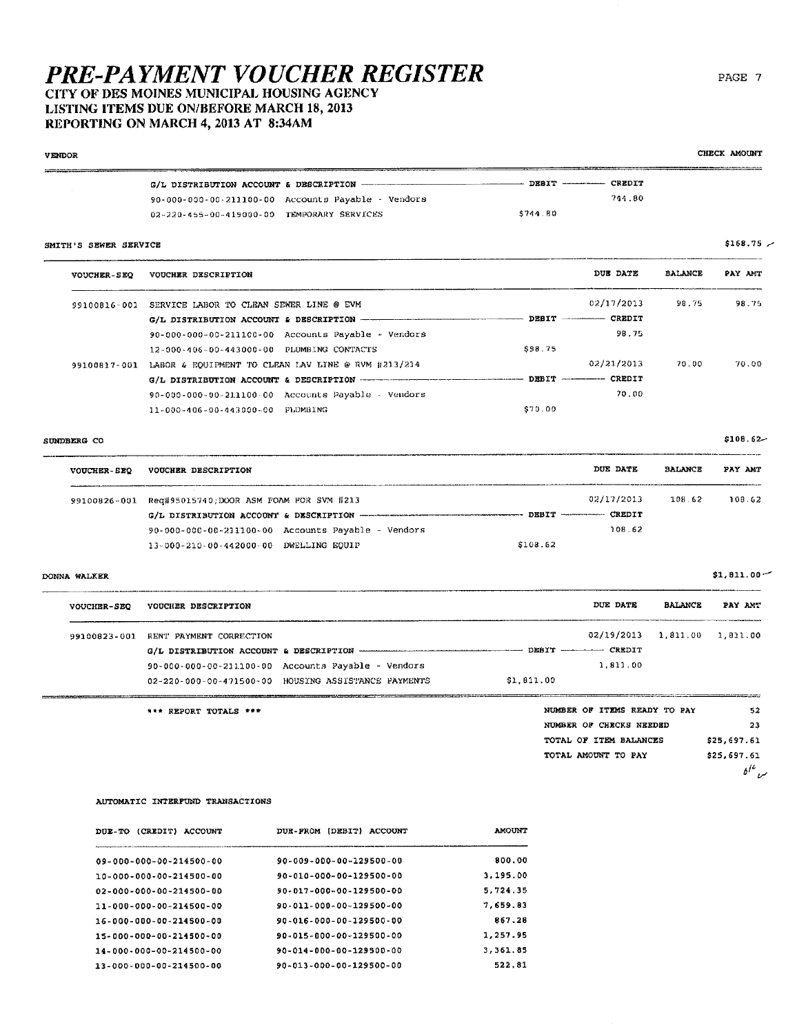## LISTING ITEMS DUE ON/BEFORE MARCH 18, 2013 REPORTING ON MARCH 4, 2013 AT 8:34AM

| <b>VENDOR</b>         |                                                                 |                                                   |                              |                | CHECK AMOUNT   |
|-----------------------|-----------------------------------------------------------------|---------------------------------------------------|------------------------------|----------------|----------------|
|                       | G/L DISTRIBUTION ACCOUNT & DESCRIPTION --                       |                                                   | - DEBIT ---------- CREDIT    |                |                |
|                       | 90-000-000-00-211100-00 Accounts Payable - Vendors              |                                                   | 744.80                       |                |                |
|                       | 02-220-455-00-419000-00 TEMPORARY SERVICES                      | \$744.80                                          |                              |                |                |
| SMITH'S SEWER SERVICE |                                                                 |                                                   |                              |                | $$168.75$ $-$  |
| <b>VOUCHER-SEQ</b>    | VOUCHER DESCRIPTION                                             |                                                   | DUE DATE                     | <b>BALANCE</b> | PAY AMT        |
|                       | 99100816-001 SERVICE LABOR TO CLEAN SEWER LINE @ EVM            |                                                   | 02/17/2013                   | 98.75          | 98.75          |
|                       | G/L DISTRIBUTION ACCOUNT & DESCRIPTION -                        |                                                   | $-$ DEBIT $-$ CREDIT         |                |                |
|                       | 90-000-000-00-211100-00 Accounts Payable - Vendors              |                                                   | 98,75                        |                |                |
|                       | 12-000-406-00-443000-00 PLUMBING CONTACTS                       | \$98.75                                           |                              |                |                |
|                       | 99100817-001 LABOR & EQUIPMENT TO CLEAN LAV LINE @ RVM #213/214 |                                                   | 02/21/2013                   | 70.00          | 70.00          |
|                       |                                                                 | ------------ DEBIT ----------- CREDIT             |                              |                |                |
|                       | $90-000-000-00-211100-00$ Accounts Payable - Vendors            |                                                   | 70.00                        |                |                |
|                       | 11-000-406-00-443000-00 PLUMBING                                | \$70.00                                           |                              |                |                |
| SUNDBERG CO           |                                                                 |                                                   |                              |                | $$108.62-$     |
| <b>VOUCHER-SEQ</b>    | VOUCHER DESCRIPTION                                             |                                                   | DUE DATE                     | <b>BALANCE</b> | PAY AMT        |
|                       | 99100826-001 Req#95015740;DOOR ASM FOAM FOR SVM #213            |                                                   | 02/17/2013                   | 108.62         | 108.62         |
|                       | G/L DISTRIBUTION ACCOUNT & DESCRIPTION ------------------       | --------------------- DEBIT -------------- CREDIT |                              |                |                |
|                       | 90-000-000-00-231100-00 Accounts Payable - Vendors              |                                                   | 108.62                       |                |                |
|                       | 13-000-210-00-442000-00 DWELLING EQUIP                          | \$108.62                                          |                              |                |                |
| DONNA WALKER          |                                                                 |                                                   |                              |                | $$1, 811.00$ ~ |
| VOUCHER-SEQ           | <b>VOUCHER DESCRIPTION</b>                                      |                                                   | DUE DATE                     | <b>BALANCE</b> | PAY AMT        |
|                       | 99100823-001 RENT PAYMENT CORRECTION                            |                                                   | 02/19/2013 1,811.00 1,811.00 |                |                |
|                       |                                                                 |                                                   |                              |                |                |
|                       | $90 - 000 - 000 - 00 - 211100 - 00$ Accounts Payable - Vendors  |                                                   | 1.811.00                     |                |                |
|                       | 02-220-000-00-471500-00 HOUSING ASSISTANCE PAYMENTS             | \$1,811.00                                        |                              |                |                |
|                       | *** REPORT TOTALS ***                                           |                                                   | NUMBER OF ITEMS READY TO PAY |                | 52             |
|                       |                                                                 |                                                   | NUMBER OF CHECKS NEEDED      |                | 23.            |
|                       |                                                                 |                                                   | TOTAL OF ITEM BALANCES       |                | \$25,697.61    |
|                       |                                                                 |                                                   | TOTAL AMOUNT TO PAY          |                | \$25.697.61    |
|                       |                                                                 |                                                   |                              |                | $b^{l^b}$ سر   |

#### AUTOMATIC INTERFUND TRANSACTIONS

| DUE-TO (CREDIT)<br>ACCOUNT | (DEBIT)<br><b>ACCOUNT</b><br><b>DUE-FROM</b> | <b>AMOUNT</b> |
|----------------------------|----------------------------------------------|---------------|
| 09-000-000-00-214500-00    | $90 - 009 - 000 - 00 - 129500 - 00$          | 800.00        |
| 10-000-000-00-214500-00    | 90-010-000-00-129500-00                      | 3.195.00      |
| 02-000-000-00-214500-00    | 90-017-000-00-129500-00                      | 5.724 35      |
| 11-000-000-00-214500-00    | 90-011-000-00-129500-00                      | 7,659.83      |
| 16-000-000-00-214500-00    | 90-016-000-00-129500-00                      | 867.28        |
| 15-000-000-00-214500-00    | 90-015-000-00-129500-00                      | 1,257.95      |
| 14-000-000-00-214500-00    | 90-014-000-00-129500-00                      | 3,361.85      |
| 13-000-000-00-214500-00    | 90-013-000-00-129500-00                      | 522.81        |

PAGE 7